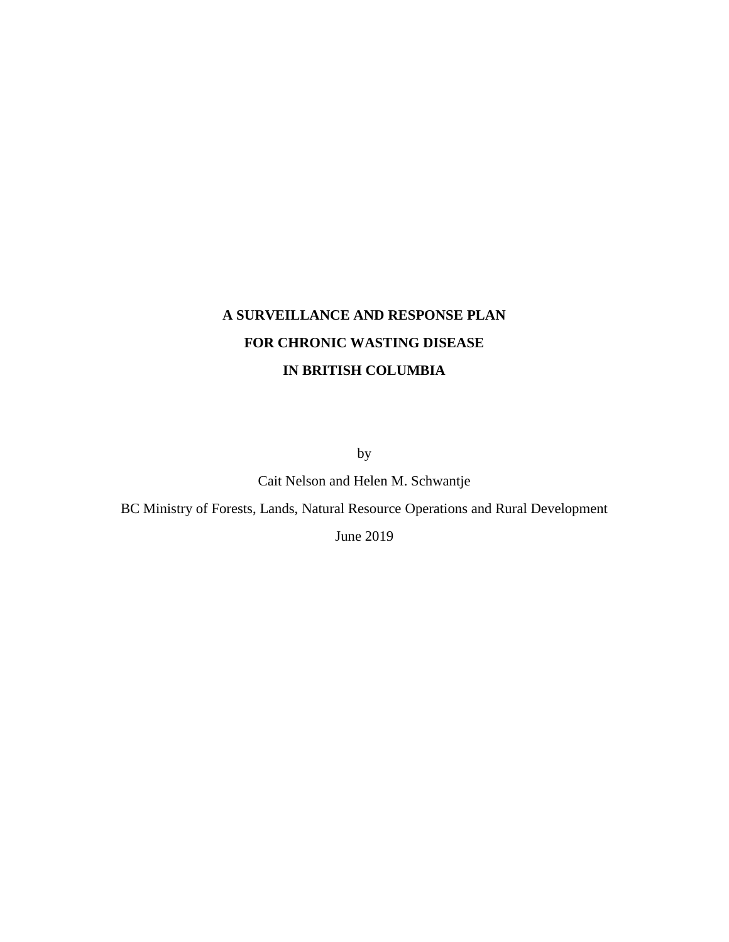# **A SURVEILLANCE AND RESPONSE PLAN FOR CHRONIC WASTING DISEASE IN BRITISH COLUMBIA**

by

Cait Nelson and Helen M. Schwantje

BC Ministry of Forests, Lands, Natural Resource Operations and Rural Development

June 2019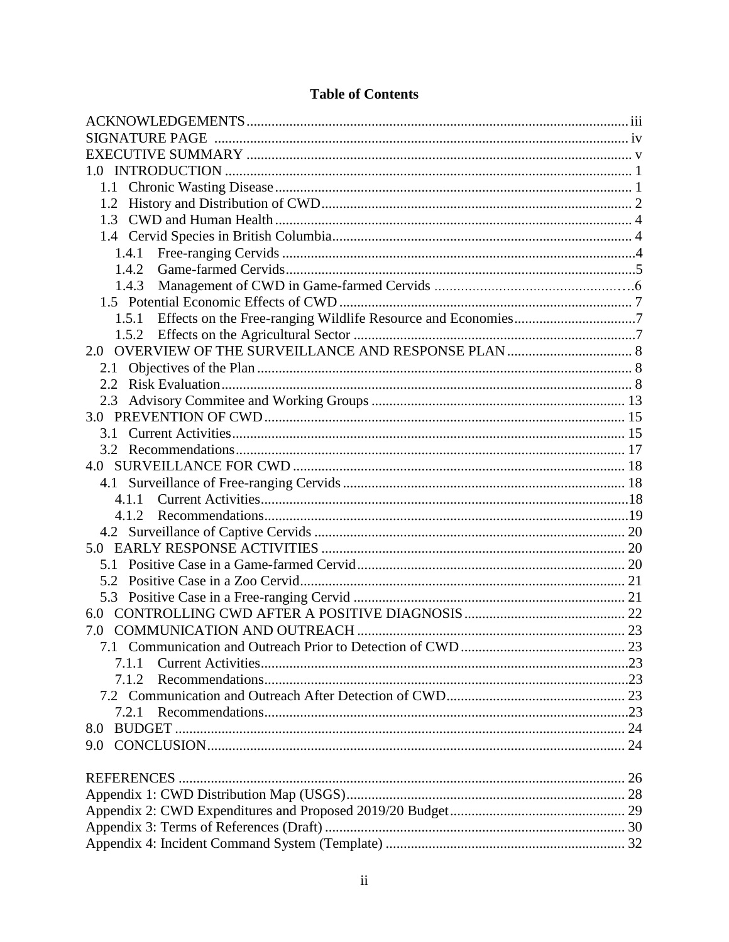| 1.0                                                                |  |
|--------------------------------------------------------------------|--|
|                                                                    |  |
| 1.2                                                                |  |
|                                                                    |  |
|                                                                    |  |
| 1.4.1                                                              |  |
|                                                                    |  |
| 1.4.3                                                              |  |
|                                                                    |  |
| 1.5.1 Effects on the Free-ranging Wildlife Resource and Economies7 |  |
| 1.5.2                                                              |  |
| 2.0                                                                |  |
|                                                                    |  |
|                                                                    |  |
| 2.3                                                                |  |
|                                                                    |  |
|                                                                    |  |
|                                                                    |  |
|                                                                    |  |
|                                                                    |  |
| 4.1.1                                                              |  |
| 4.1.2                                                              |  |
|                                                                    |  |
|                                                                    |  |
|                                                                    |  |
|                                                                    |  |
|                                                                    |  |
| 6.0                                                                |  |
| 7.0                                                                |  |
|                                                                    |  |
| 7.1.1                                                              |  |
| 7.1.2                                                              |  |
|                                                                    |  |
| 721                                                                |  |
| 8.0                                                                |  |
| 9.0                                                                |  |
|                                                                    |  |
|                                                                    |  |
|                                                                    |  |
|                                                                    |  |
|                                                                    |  |
|                                                                    |  |

# **Table of Contents**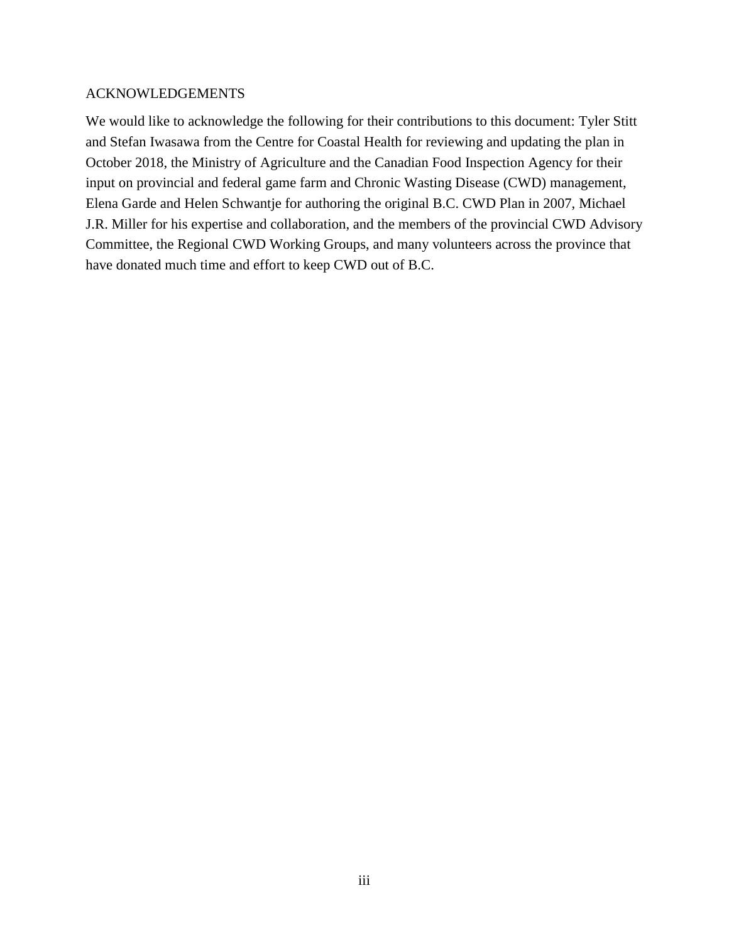### ACKNOWLEDGEMENTS

We would like to acknowledge the following for their contributions to this document: Tyler Stitt and Stefan Iwasawa from the Centre for Coastal Health for reviewing and updating the plan in October 2018, the Ministry of Agriculture and the Canadian Food Inspection Agency for their input on provincial and federal game farm and Chronic Wasting Disease (CWD) management, Elena Garde and Helen Schwantje for authoring the original B.C. CWD Plan in 2007, Michael J.R. Miller for his expertise and collaboration, and the members of the provincial CWD Advisory Committee, the Regional CWD Working Groups, and many volunteers across the province that have donated much time and effort to keep CWD out of B.C.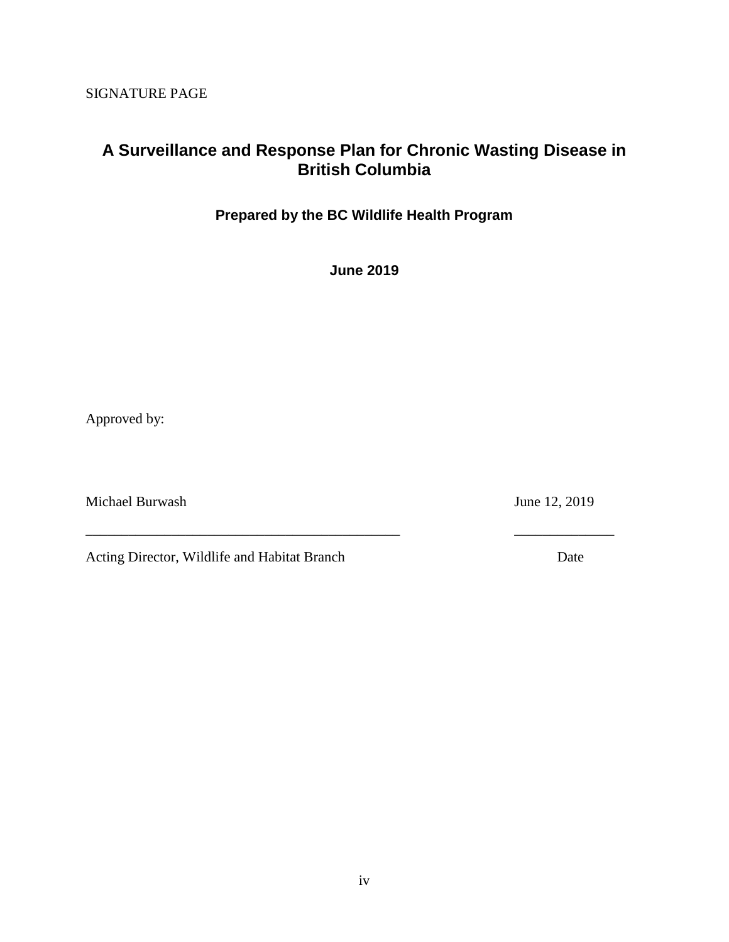SIGNATURE PAGE

# **A Surveillance and Response Plan for Chronic Wasting Disease in British Columbia**

**Prepared by the BC Wildlife Health Program** 

**June 2019**

\_\_\_\_\_\_\_\_\_\_\_\_\_\_\_\_\_\_\_\_\_\_\_\_\_\_\_\_\_\_\_\_\_\_\_\_\_\_\_\_\_\_\_\_ \_\_\_\_\_\_\_\_\_\_\_\_\_\_

Approved by:

Michael Burwash June 12, 2019

Acting Director, Wildlife and Habitat Branch Date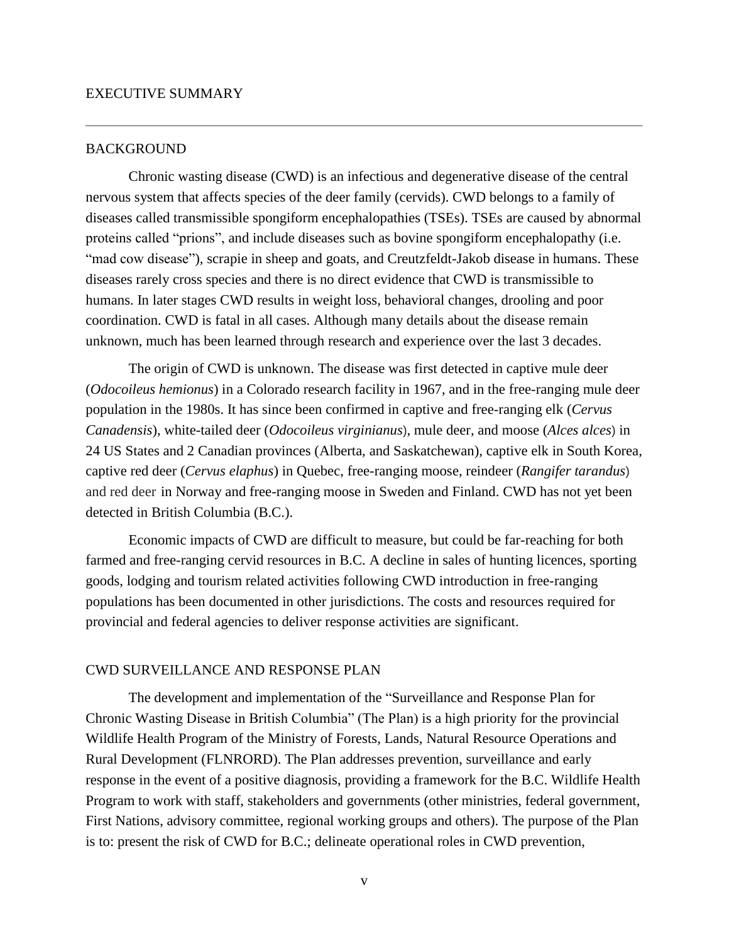#### EXECUTIVE SUMMARY

#### BACKGROUND

Chronic wasting disease (CWD) is an infectious and degenerative disease of the central nervous system that affects species of the deer family (cervids). CWD belongs to a family of diseases called transmissible spongiform encephalopathies (TSEs). TSEs are caused by abnormal proteins called "prions", and include diseases such as bovine spongiform encephalopathy (i.e. "mad cow disease"), scrapie in sheep and goats, and Creutzfeldt-Jakob disease in humans. These diseases rarely cross species and there is no direct evidence that CWD is transmissible to humans. In later stages CWD results in weight loss, behavioral changes, drooling and poor coordination. CWD is fatal in all cases. Although many details about the disease remain unknown, much has been learned through research and experience over the last 3 decades.

The origin of CWD is unknown. The disease was first detected in captive mule deer (*Odocoileus hemionus*) in a Colorado research facility in 1967, and in the free-ranging mule deer population in the 1980s. It has since been confirmed in captive and free-ranging elk (*Cervus Canadensis*), white-tailed deer (*Odocoileus virginianus*), mule deer, and moose (*Alces alces*) in 24 US States and 2 Canadian provinces (Alberta, and Saskatchewan), captive elk in South Korea, captive red deer (*Cervus elaphus*) in Quebec, free-ranging moose, reindeer (*Rangifer tarandus*) and red deer in Norway and free-ranging moose in Sweden and Finland. CWD has not yet been detected in British Columbia (B.C.).

Economic impacts of CWD are difficult to measure, but could be far-reaching for both farmed and free-ranging cervid resources in B.C. A decline in sales of hunting licences, sporting goods, lodging and tourism related activities following CWD introduction in free-ranging populations has been documented in other jurisdictions. The costs and resources required for provincial and federal agencies to deliver response activities are significant.

#### CWD SURVEILLANCE AND RESPONSE PLAN

The development and implementation of the "Surveillance and Response Plan for Chronic Wasting Disease in British Columbia" (The Plan) is a high priority for the provincial Wildlife Health Program of the Ministry of Forests, Lands, Natural Resource Operations and Rural Development (FLNRORD). The Plan addresses prevention, surveillance and early response in the event of a positive diagnosis, providing a framework for the B.C. Wildlife Health Program to work with staff, stakeholders and governments (other ministries, federal government, First Nations, advisory committee, regional working groups and others). The purpose of the Plan is to: present the risk of CWD for B.C.; delineate operational roles in CWD prevention,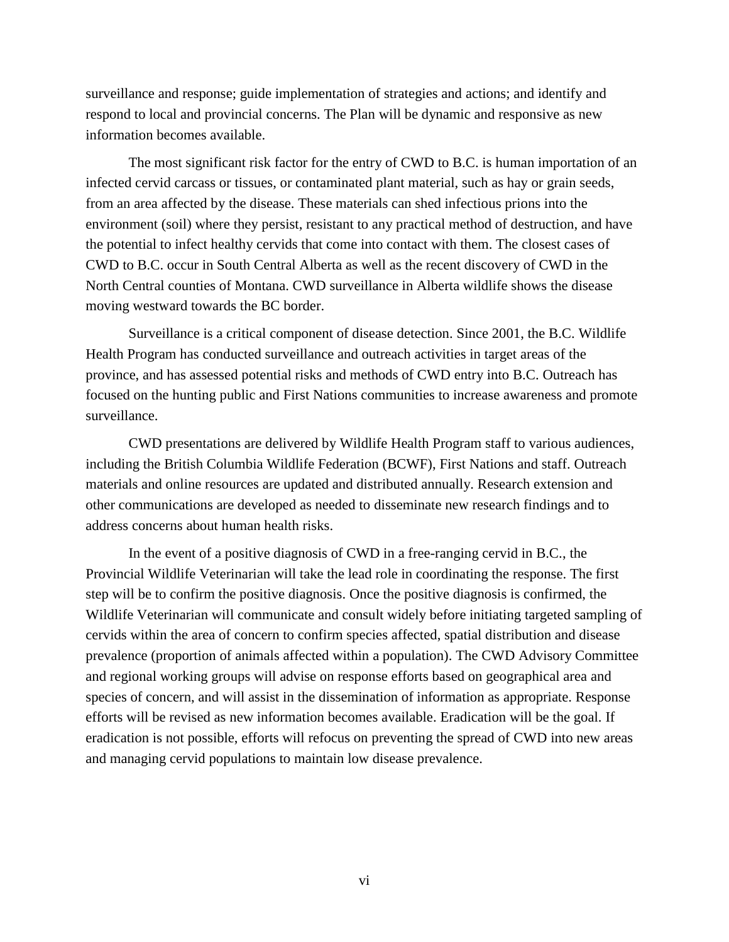surveillance and response; guide implementation of strategies and actions; and identify and respond to local and provincial concerns. The Plan will be dynamic and responsive as new information becomes available.

The most significant risk factor for the entry of CWD to B.C. is human importation of an infected cervid carcass or tissues, or contaminated plant material, such as hay or grain seeds, from an area affected by the disease. These materials can shed infectious prions into the environment (soil) where they persist, resistant to any practical method of destruction, and have the potential to infect healthy cervids that come into contact with them. The closest cases of CWD to B.C. occur in South Central Alberta as well as the recent discovery of CWD in the North Central counties of Montana. CWD surveillance in Alberta wildlife shows the disease moving westward towards the BC border.

Surveillance is a critical component of disease detection. Since 2001, the B.C. Wildlife Health Program has conducted surveillance and outreach activities in target areas of the province, and has assessed potential risks and methods of CWD entry into B.C. Outreach has focused on the hunting public and First Nations communities to increase awareness and promote surveillance.

CWD presentations are delivered by Wildlife Health Program staff to various audiences, including the British Columbia Wildlife Federation (BCWF), First Nations and staff. Outreach materials and online resources are updated and distributed annually. Research extension and other communications are developed as needed to disseminate new research findings and to address concerns about human health risks.

In the event of a positive diagnosis of CWD in a free-ranging cervid in B.C., the Provincial Wildlife Veterinarian will take the lead role in coordinating the response. The first step will be to confirm the positive diagnosis. Once the positive diagnosis is confirmed, the Wildlife Veterinarian will communicate and consult widely before initiating targeted sampling of cervids within the area of concern to confirm species affected, spatial distribution and disease prevalence (proportion of animals affected within a population). The CWD Advisory Committee and regional working groups will advise on response efforts based on geographical area and species of concern, and will assist in the dissemination of information as appropriate. Response efforts will be revised as new information becomes available. Eradication will be the goal. If eradication is not possible, efforts will refocus on preventing the spread of CWD into new areas and managing cervid populations to maintain low disease prevalence.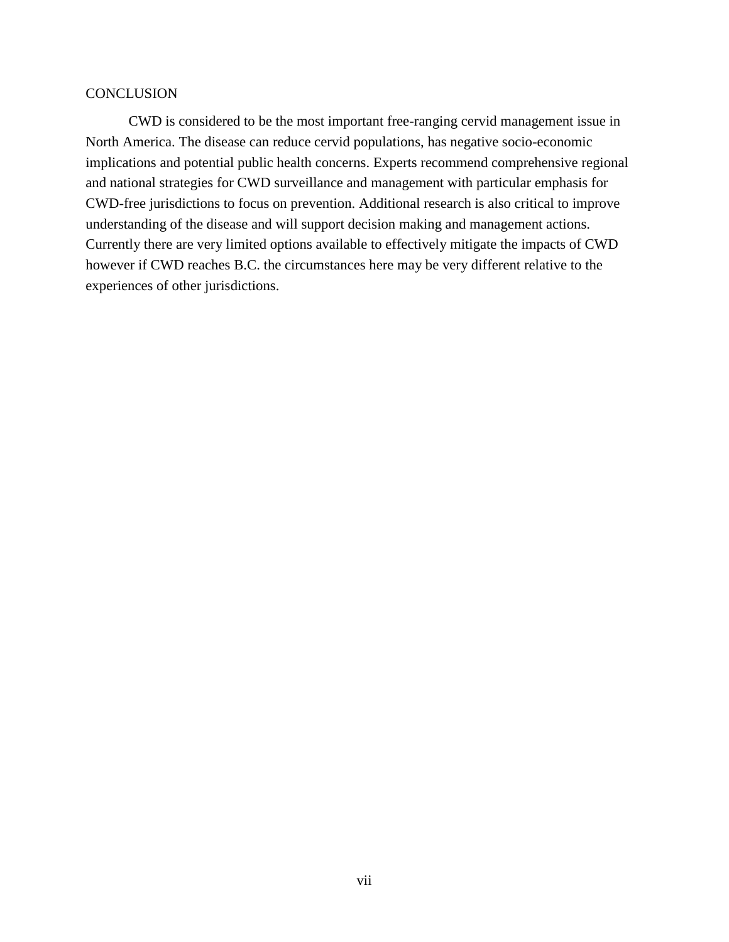### **CONCLUSION**

CWD is considered to be the most important free-ranging cervid management issue in North America. The disease can reduce cervid populations, has negative socio-economic implications and potential public health concerns. Experts recommend comprehensive regional and national strategies for CWD surveillance and management with particular emphasis for CWD-free jurisdictions to focus on prevention. Additional research is also critical to improve understanding of the disease and will support decision making and management actions. Currently there are very limited options available to effectively mitigate the impacts of CWD however if CWD reaches B.C. the circumstances here may be very different relative to the experiences of other jurisdictions.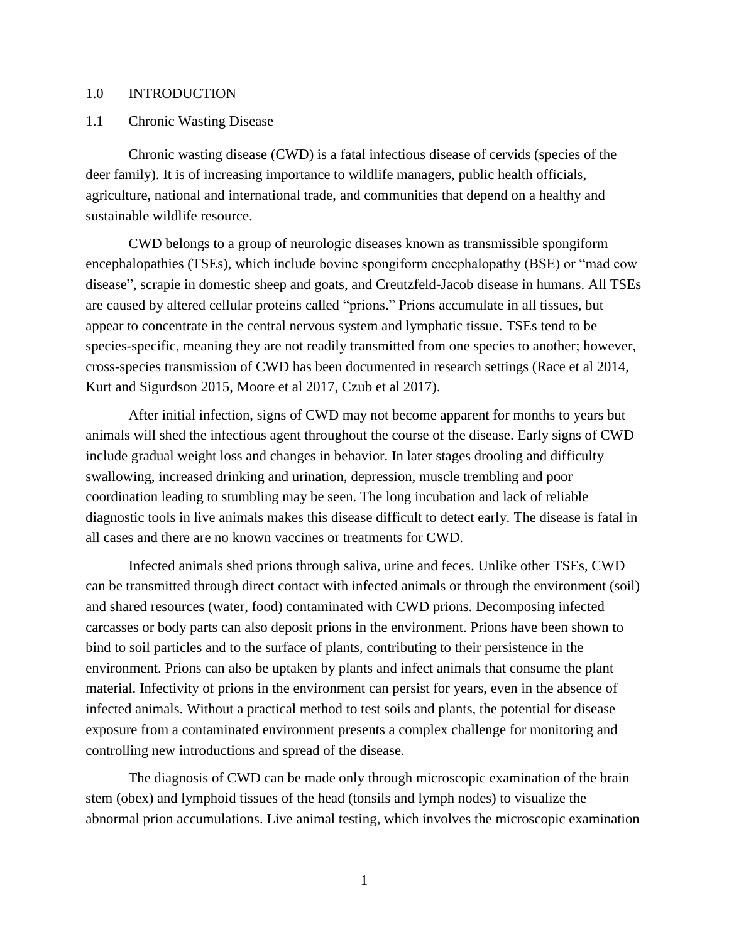### 1.0 INTRODUCTION

1.1 Chronic Wasting Disease

Chronic wasting disease (CWD) is a fatal infectious disease of cervids (species of the deer family). It is of increasing importance to wildlife managers, public health officials, agriculture, national and international trade, and communities that depend on a healthy and sustainable wildlife resource.

CWD belongs to a group of neurologic diseases known as transmissible spongiform encephalopathies (TSEs), which include bovine spongiform encephalopathy (BSE) or "mad cow disease", scrapie in domestic sheep and goats, and Creutzfeld-Jacob disease in humans. All TSEs are caused by altered cellular proteins called "prions." Prions accumulate in all tissues, but appear to concentrate in the central nervous system and lymphatic tissue. TSEs tend to be species-specific, meaning they are not readily transmitted from one species to another; however, cross-species transmission of CWD has been documented in research settings (Race et al 2014, Kurt and Sigurdson 2015, Moore et al 2017, Czub et al 2017).

After initial infection, signs of CWD may not become apparent for months to years but animals will shed the infectious agent throughout the course of the disease. Early signs of CWD include gradual weight loss and changes in behavior. In later stages drooling and difficulty swallowing, increased drinking and urination, depression, muscle trembling and poor coordination leading to stumbling may be seen. The long incubation and lack of reliable diagnostic tools in live animals makes this disease difficult to detect early. The disease is fatal in all cases and there are no known vaccines or treatments for CWD.

Infected animals shed prions through saliva, urine and feces. Unlike other TSEs, CWD can be transmitted through direct contact with infected animals or through the environment (soil) and shared resources (water, food) contaminated with CWD prions. Decomposing infected carcasses or body parts can also deposit prions in the environment. Prions have been shown to bind to soil particles and to the surface of plants, contributing to their persistence in the environment. Prions can also be uptaken by plants and infect animals that consume the plant material. Infectivity of prions in the environment can persist for years, even in the absence of infected animals. Without a practical method to test soils and plants, the potential for disease exposure from a contaminated environment presents a complex challenge for monitoring and controlling new introductions and spread of the disease.

The diagnosis of CWD can be made only through microscopic examination of the brain stem (obex) and lymphoid tissues of the head (tonsils and lymph nodes) to visualize the abnormal prion accumulations. Live animal testing, which involves the microscopic examination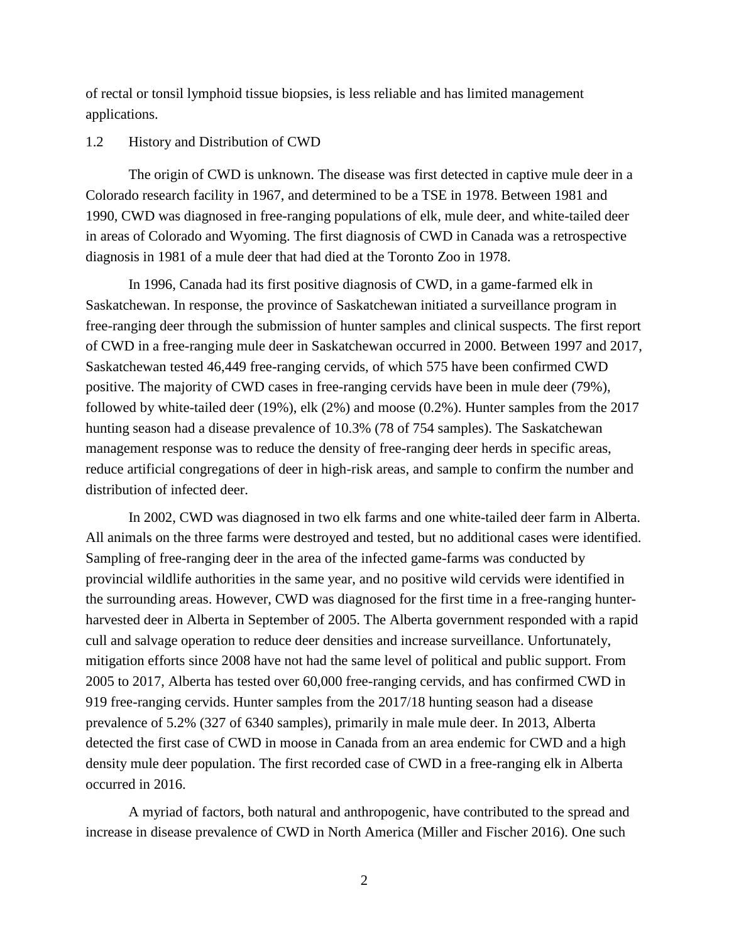of rectal or tonsil lymphoid tissue biopsies, is less reliable and has limited management applications.

### 1.2 History and Distribution of CWD

The origin of CWD is unknown. The disease was first detected in captive mule deer in a Colorado research facility in 1967, and determined to be a TSE in 1978. Between 1981 and 1990, CWD was diagnosed in free-ranging populations of elk, mule deer, and white-tailed deer in areas of Colorado and Wyoming. The first diagnosis of CWD in Canada was a retrospective diagnosis in 1981 of a mule deer that had died at the Toronto Zoo in 1978.

In 1996, Canada had its first positive diagnosis of CWD, in a game-farmed elk in Saskatchewan. In response, the province of Saskatchewan initiated a surveillance program in free-ranging deer through the submission of hunter samples and clinical suspects. The first report of CWD in a free-ranging mule deer in Saskatchewan occurred in 2000. Between 1997 and 2017, Saskatchewan tested 46,449 free-ranging cervids, of which 575 have been confirmed CWD positive. The majority of CWD cases in free-ranging cervids have been in mule deer (79%), followed by white-tailed deer (19%), elk (2%) and moose (0.2%). Hunter samples from the 2017 hunting season had a disease prevalence of 10.3% (78 of 754 samples). The Saskatchewan management response was to reduce the density of free-ranging deer herds in specific areas, reduce artificial congregations of deer in high-risk areas, and sample to confirm the number and distribution of infected deer.

In 2002, CWD was diagnosed in two elk farms and one white-tailed deer farm in Alberta. All animals on the three farms were destroyed and tested, but no additional cases were identified. Sampling of free-ranging deer in the area of the infected game-farms was conducted by provincial wildlife authorities in the same year, and no positive wild cervids were identified in the surrounding areas. However, CWD was diagnosed for the first time in a free-ranging hunterharvested deer in Alberta in September of 2005. The Alberta government responded with a rapid cull and salvage operation to reduce deer densities and increase surveillance. Unfortunately, mitigation efforts since 2008 have not had the same level of political and public support. From 2005 to 2017, Alberta has tested over 60,000 free-ranging cervids, and has confirmed CWD in 919 free-ranging cervids. Hunter samples from the 2017/18 hunting season had a disease prevalence of 5.2% (327 of 6340 samples), primarily in male mule deer. In 2013, Alberta detected the first case of CWD in moose in Canada from an area endemic for CWD and a high density mule deer population. The first recorded case of CWD in a free-ranging elk in Alberta occurred in 2016.

A myriad of factors, both natural and anthropogenic, have contributed to the spread and increase in disease prevalence of CWD in North America (Miller and Fischer 2016). One such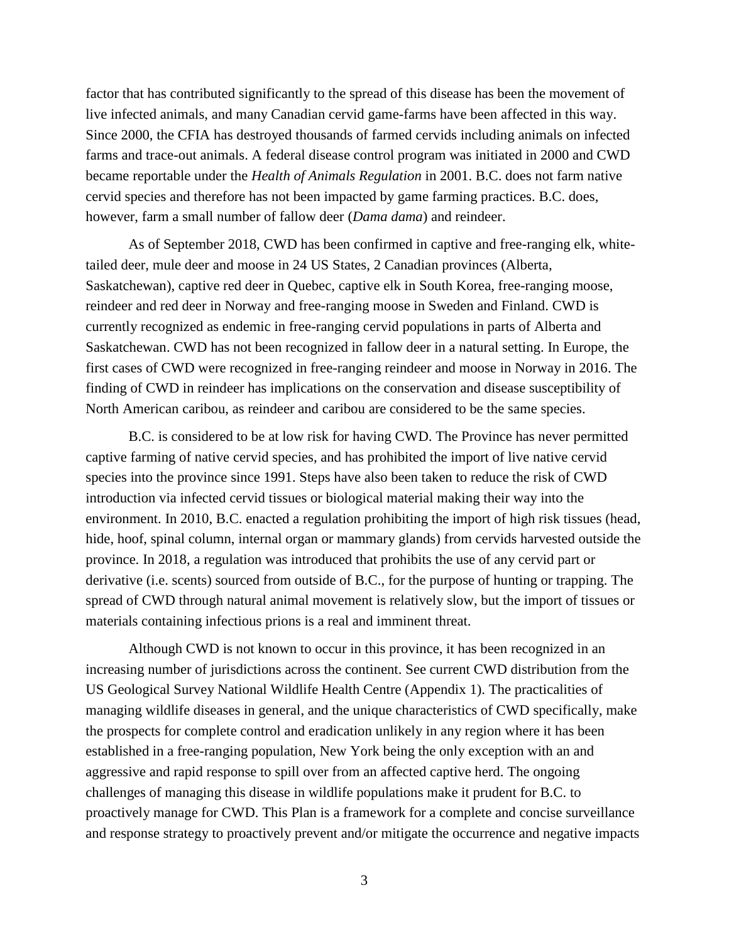factor that has contributed significantly to the spread of this disease has been the movement of live infected animals, and many Canadian cervid game-farms have been affected in this way. Since 2000, the CFIA has destroyed thousands of farmed cervids including animals on infected farms and trace-out animals. A federal disease control program was initiated in 2000 and CWD became reportable under the *Health of Animals Regulation* in 2001. B.C. does not farm native cervid species and therefore has not been impacted by game farming practices. B.C. does, however, farm a small number of fallow deer (*Dama dama*) and reindeer.

As of September 2018, CWD has been confirmed in captive and free-ranging elk, whitetailed deer, mule deer and moose in 24 US States, 2 Canadian provinces (Alberta, Saskatchewan), captive red deer in Quebec, captive elk in South Korea, free-ranging moose, reindeer and red deer in Norway and free-ranging moose in Sweden and Finland. CWD is currently recognized as endemic in free-ranging cervid populations in parts of Alberta and Saskatchewan. CWD has not been recognized in fallow deer in a natural setting. In Europe, the first cases of CWD were recognized in free-ranging reindeer and moose in Norway in 2016. The finding of CWD in reindeer has implications on the conservation and disease susceptibility of North American caribou, as reindeer and caribou are considered to be the same species.

B.C. is considered to be at low risk for having CWD. The Province has never permitted captive farming of native cervid species, and has prohibited the import of live native cervid species into the province since 1991. Steps have also been taken to reduce the risk of CWD introduction via infected cervid tissues or biological material making their way into the environment. In 2010, B.C. enacted a regulation prohibiting the import of high risk tissues (head, hide, hoof, spinal column, internal organ or mammary glands) from cervids harvested outside the province. In 2018, a regulation was introduced that prohibits the use of any cervid part or derivative (i.e. scents) sourced from outside of B.C., for the purpose of hunting or trapping. The spread of CWD through natural animal movement is relatively slow, but the import of tissues or materials containing infectious prions is a real and imminent threat.

Although CWD is not known to occur in this province, it has been recognized in an increasing number of jurisdictions across the continent. See current CWD distribution from the US Geological Survey National Wildlife Health Centre (Appendix 1). The practicalities of managing wildlife diseases in general, and the unique characteristics of CWD specifically, make the prospects for complete control and eradication unlikely in any region where it has been established in a free-ranging population, New York being the only exception with an and aggressive and rapid response to spill over from an affected captive herd. The ongoing challenges of managing this disease in wildlife populations make it prudent for B.C. to proactively manage for CWD. This Plan is a framework for a complete and concise surveillance and response strategy to proactively prevent and/or mitigate the occurrence and negative impacts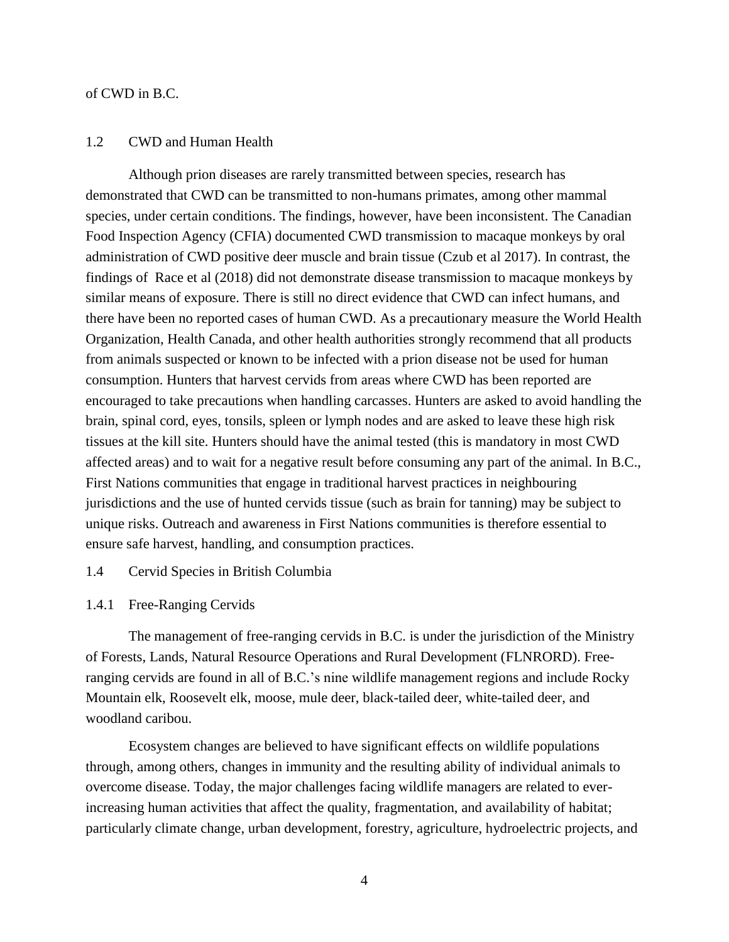#### of CWD in B.C.

#### 1.2 CWD and Human Health

Although prion diseases are rarely transmitted between species, research has demonstrated that CWD can be transmitted to non-humans primates, among other mammal species, under certain conditions. The findings, however, have been inconsistent. The Canadian Food Inspection Agency (CFIA) documented CWD transmission to macaque monkeys by oral administration of CWD positive deer muscle and brain tissue (Czub et al 2017). In contrast, the findings of Race et al (2018) did not demonstrate disease transmission to macaque monkeys by similar means of exposure. There is still no direct evidence that CWD can infect humans, and there have been no reported cases of human CWD. As a precautionary measure the World Health Organization, Health Canada, and other health authorities strongly recommend that all products from animals suspected or known to be infected with a prion disease not be used for human consumption. Hunters that harvest cervids from areas where CWD has been reported are encouraged to take precautions when handling carcasses. Hunters are asked to avoid handling the brain, spinal cord, eyes, tonsils, spleen or lymph nodes and are asked to leave these high risk tissues at the kill site. Hunters should have the animal tested (this is mandatory in most CWD affected areas) and to wait for a negative result before consuming any part of the animal. In B.C., First Nations communities that engage in traditional harvest practices in neighbouring jurisdictions and the use of hunted cervids tissue (such as brain for tanning) may be subject to unique risks. Outreach and awareness in First Nations communities is therefore essential to ensure safe harvest, handling, and consumption practices.

#### 1.4 Cervid Species in British Columbia

#### 1.4.1 Free-Ranging Cervids

The management of free-ranging cervids in B.C. is under the jurisdiction of the Ministry of Forests, Lands, Natural Resource Operations and Rural Development (FLNRORD). Freeranging cervids are found in all of B.C.'s nine wildlife management regions and include Rocky Mountain elk, Roosevelt elk, moose, mule deer, black-tailed deer, white-tailed deer, and woodland caribou.

Ecosystem changes are believed to have significant effects on wildlife populations through, among others, changes in immunity and the resulting ability of individual animals to overcome disease. Today, the major challenges facing wildlife managers are related to everincreasing human activities that affect the quality, fragmentation, and availability of habitat; particularly climate change, urban development, forestry, agriculture, hydroelectric projects, and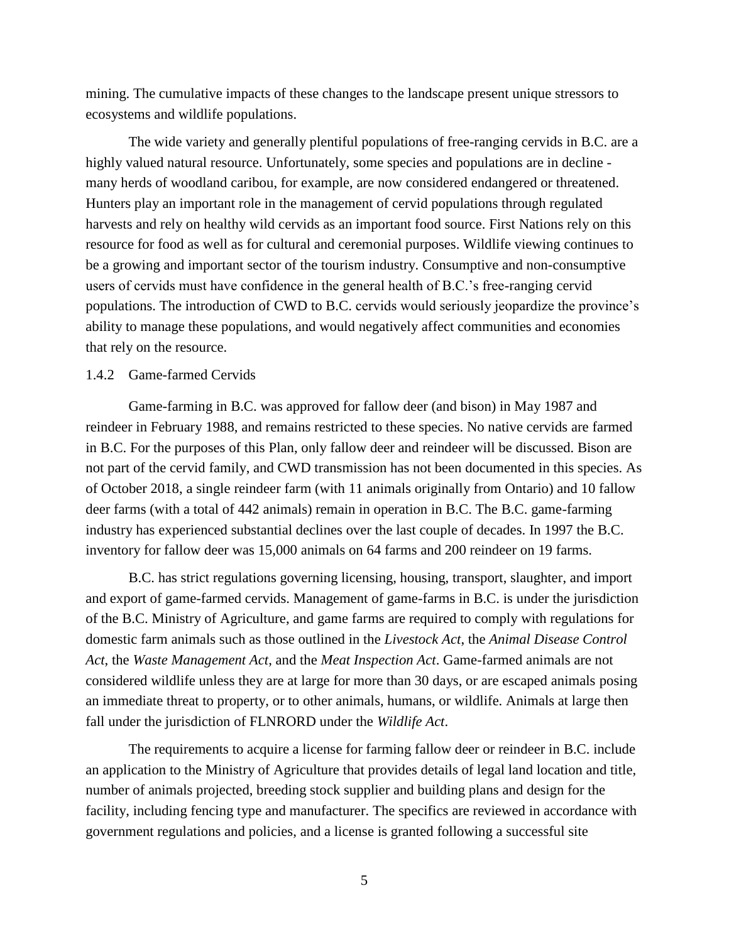mining. The cumulative impacts of these changes to the landscape present unique stressors to ecosystems and wildlife populations.

The wide variety and generally plentiful populations of free-ranging cervids in B.C. are a highly valued natural resource. Unfortunately, some species and populations are in decline many herds of woodland caribou, for example, are now considered endangered or threatened. Hunters play an important role in the management of cervid populations through regulated harvests and rely on healthy wild cervids as an important food source. First Nations rely on this resource for food as well as for cultural and ceremonial purposes. Wildlife viewing continues to be a growing and important sector of the tourism industry. Consumptive and non-consumptive users of cervids must have confidence in the general health of B.C.'s free-ranging cervid populations. The introduction of CWD to B.C. cervids would seriously jeopardize the province's ability to manage these populations, and would negatively affect communities and economies that rely on the resource.

### 1.4.2 Game-farmed Cervids

Game-farming in B.C. was approved for fallow deer (and bison) in May 1987 and reindeer in February 1988, and remains restricted to these species. No native cervids are farmed in B.C. For the purposes of this Plan, only fallow deer and reindeer will be discussed. Bison are not part of the cervid family, and CWD transmission has not been documented in this species. As of October 2018, a single reindeer farm (with 11 animals originally from Ontario) and 10 fallow deer farms (with a total of 442 animals) remain in operation in B.C. The B.C. game-farming industry has experienced substantial declines over the last couple of decades. In 1997 the B.C. inventory for fallow deer was 15,000 animals on 64 farms and 200 reindeer on 19 farms.

B.C. has strict regulations governing licensing, housing, transport, slaughter, and import and export of game-farmed cervids. Management of game-farms in B.C. is under the jurisdiction of the B.C. Ministry of Agriculture, and game farms are required to comply with regulations for domestic farm animals such as those outlined in the *Livestock Act*, the *Animal Disease Control Act*, the *Waste Management Act*, and the *Meat Inspection Act*. Game-farmed animals are not considered wildlife unless they are at large for more than 30 days, or are escaped animals posing an immediate threat to property, or to other animals, humans, or wildlife. Animals at large then fall under the jurisdiction of FLNRORD under the *Wildlife Act*.

The requirements to acquire a license for farming fallow deer or reindeer in B.C. include an application to the Ministry of Agriculture that provides details of legal land location and title, number of animals projected, breeding stock supplier and building plans and design for the facility, including fencing type and manufacturer. The specifics are reviewed in accordance with government regulations and policies, and a license is granted following a successful site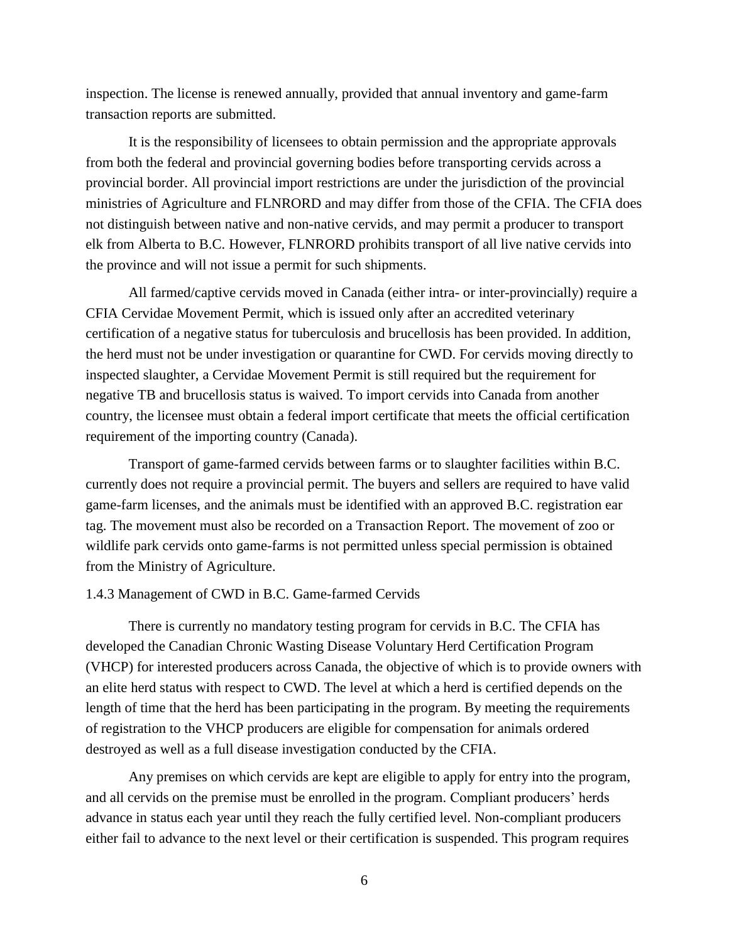inspection. The license is renewed annually, provided that annual inventory and game-farm transaction reports are submitted.

It is the responsibility of licensees to obtain permission and the appropriate approvals from both the federal and provincial governing bodies before transporting cervids across a provincial border. All provincial import restrictions are under the jurisdiction of the provincial ministries of Agriculture and FLNRORD and may differ from those of the CFIA. The CFIA does not distinguish between native and non-native cervids, and may permit a producer to transport elk from Alberta to B.C. However, FLNRORD prohibits transport of all live native cervids into the province and will not issue a permit for such shipments.

All farmed/captive cervids moved in Canada (either intra- or inter-provincially) require a CFIA Cervidae Movement Permit, which is issued only after an accredited veterinary certification of a negative status for tuberculosis and brucellosis has been provided. In addition, the herd must not be under investigation or quarantine for CWD. For cervids moving directly to inspected slaughter, a Cervidae Movement Permit is still required but the requirement for negative TB and brucellosis status is waived. To import cervids into Canada from another country, the licensee must obtain a federal import certificate that meets the official certification requirement of the importing country (Canada).

Transport of game-farmed cervids between farms or to slaughter facilities within B.C. currently does not require a provincial permit. The buyers and sellers are required to have valid game-farm licenses, and the animals must be identified with an approved B.C. registration ear tag. The movement must also be recorded on a Transaction Report. The movement of zoo or wildlife park cervids onto game-farms is not permitted unless special permission is obtained from the Ministry of Agriculture.

#### 1.4.3 Management of CWD in B.C. Game-farmed Cervids

There is currently no mandatory testing program for cervids in B.C. The CFIA has developed the Canadian Chronic Wasting Disease Voluntary Herd Certification Program (VHCP) for interested producers across Canada, the objective of which is to provide owners with an elite herd status with respect to CWD. The level at which a herd is certified depends on the length of time that the herd has been participating in the program. By meeting the requirements of registration to the VHCP producers are eligible for compensation for animals ordered destroyed as well as a full disease investigation conducted by the CFIA.

Any premises on which cervids are kept are eligible to apply for entry into the program, and all cervids on the premise must be enrolled in the program. Compliant producers' herds advance in status each year until they reach the fully certified level. Non-compliant producers either fail to advance to the next level or their certification is suspended. This program requires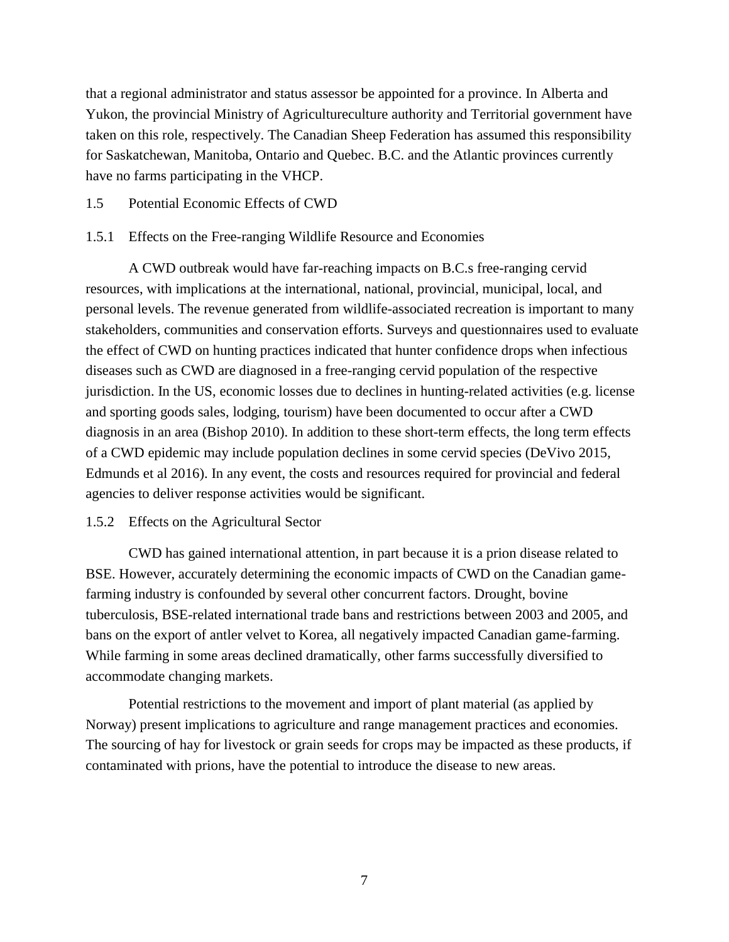that a regional administrator and status assessor be appointed for a province. In Alberta and Yukon, the provincial Ministry of Agricultureculture authority and Territorial government have taken on this role, respectively. The Canadian Sheep Federation has assumed this responsibility for Saskatchewan, Manitoba, Ontario and Quebec. B.C. and the Atlantic provinces currently have no farms participating in the VHCP.

### 1.5 Potential Economic Effects of CWD

### 1.5.1 Effects on the Free-ranging Wildlife Resource and Economies

A CWD outbreak would have far-reaching impacts on B.C.s free-ranging cervid resources, with implications at the international, national, provincial, municipal, local, and personal levels. The revenue generated from wildlife-associated recreation is important to many stakeholders, communities and conservation efforts. Surveys and questionnaires used to evaluate the effect of CWD on hunting practices indicated that hunter confidence drops when infectious diseases such as CWD are diagnosed in a free-ranging cervid population of the respective jurisdiction. In the US, economic losses due to declines in hunting-related activities (e.g. license and sporting goods sales, lodging, tourism) have been documented to occur after a CWD diagnosis in an area (Bishop 2010). In addition to these short-term effects, the long term effects of a CWD epidemic may include population declines in some cervid species (DeVivo 2015, Edmunds et al 2016). In any event, the costs and resources required for provincial and federal agencies to deliver response activities would be significant.

### 1.5.2 Effects on the Agricultural Sector

CWD has gained international attention, in part because it is a prion disease related to BSE. However, accurately determining the economic impacts of CWD on the Canadian gamefarming industry is confounded by several other concurrent factors. Drought, bovine tuberculosis, BSE-related international trade bans and restrictions between 2003 and 2005, and bans on the export of antler velvet to Korea, all negatively impacted Canadian game-farming. While farming in some areas declined dramatically, other farms successfully diversified to accommodate changing markets.

Potential restrictions to the movement and import of plant material (as applied by Norway) present implications to agriculture and range management practices and economies. The sourcing of hay for livestock or grain seeds for crops may be impacted as these products, if contaminated with prions, have the potential to introduce the disease to new areas.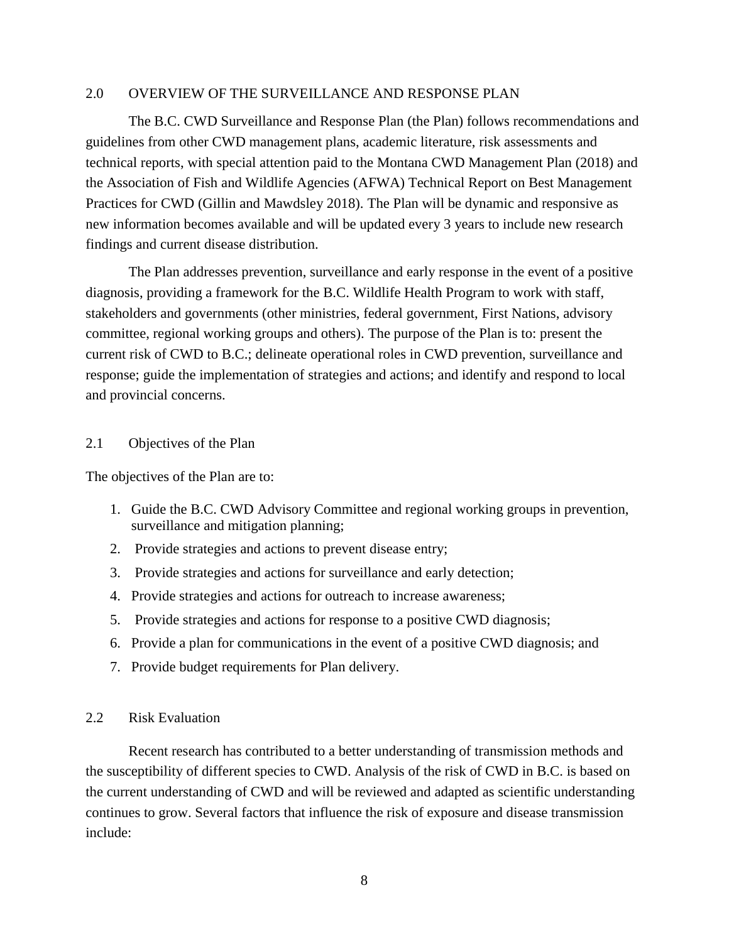### 2.0 OVERVIEW OF THE SURVEILLANCE AND RESPONSE PLAN

The B.C. CWD Surveillance and Response Plan (the Plan) follows recommendations and guidelines from other CWD management plans, academic literature, risk assessments and technical reports, with special attention paid to the Montana CWD Management Plan (2018) and the Association of Fish and Wildlife Agencies (AFWA) Technical Report on Best Management Practices for CWD (Gillin and Mawdsley 2018). The Plan will be dynamic and responsive as new information becomes available and will be updated every 3 years to include new research findings and current disease distribution.

The Plan addresses prevention, surveillance and early response in the event of a positive diagnosis, providing a framework for the B.C. Wildlife Health Program to work with staff, stakeholders and governments (other ministries, federal government, First Nations, advisory committee, regional working groups and others). The purpose of the Plan is to: present the current risk of CWD to B.C.; delineate operational roles in CWD prevention, surveillance and response; guide the implementation of strategies and actions; and identify and respond to local and provincial concerns.

#### 2.1 Objectives of the Plan

The objectives of the Plan are to:

- 1. Guide the B.C. CWD Advisory Committee and regional working groups in prevention, surveillance and mitigation planning;
- 2. Provide strategies and actions to prevent disease entry;
- 3. Provide strategies and actions for surveillance and early detection;
- 4. Provide strategies and actions for outreach to increase awareness;
- 5. Provide strategies and actions for response to a positive CWD diagnosis;
- 6. Provide a plan for communications in the event of a positive CWD diagnosis; and
- 7. Provide budget requirements for Plan delivery.

### 2.2 Risk Evaluation

Recent research has contributed to a better understanding of transmission methods and the susceptibility of different species to CWD. Analysis of the risk of CWD in B.C. is based on the current understanding of CWD and will be reviewed and adapted as scientific understanding continues to grow. Several factors that influence the risk of exposure and disease transmission include: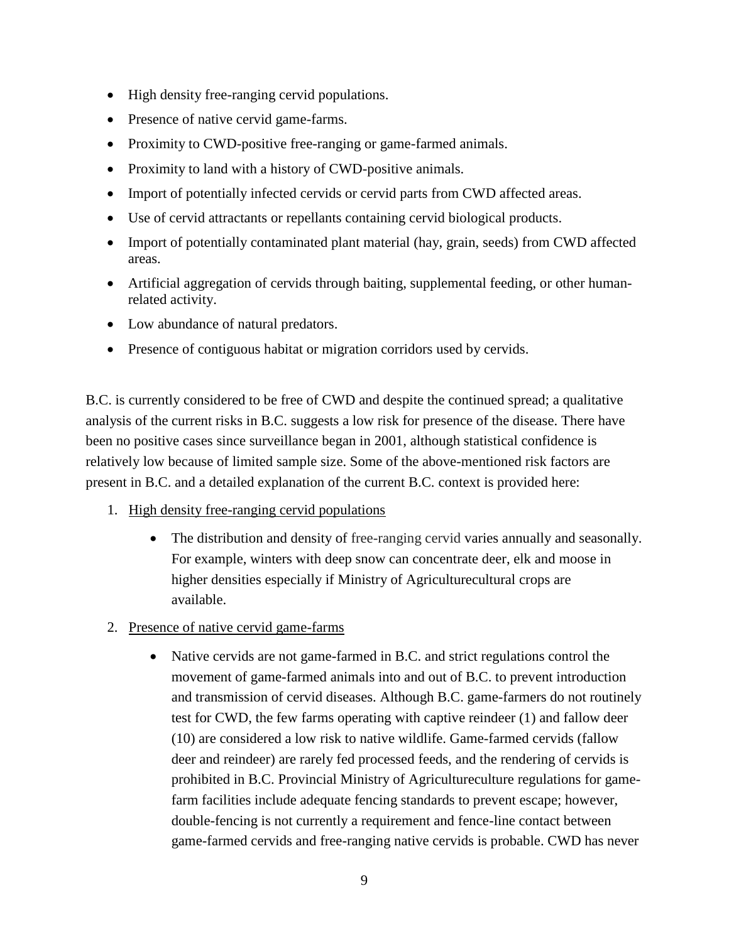- High density free-ranging cervid populations.
- Presence of native cervid game-farms.
- Proximity to CWD-positive free-ranging or game-farmed animals.
- Proximity to land with a history of CWD-positive animals.
- Import of potentially infected cervids or cervid parts from CWD affected areas.
- Use of cervid attractants or repellants containing cervid biological products.
- Import of potentially contaminated plant material (hay, grain, seeds) from CWD affected areas.
- Artificial aggregation of cervids through baiting, supplemental feeding, or other humanrelated activity.
- Low abundance of natural predators.
- Presence of contiguous habitat or migration corridors used by cervids.

B.C. is currently considered to be free of CWD and despite the continued spread; a qualitative analysis of the current risks in B.C. suggests a low risk for presence of the disease. There have been no positive cases since surveillance began in 2001, although statistical confidence is relatively low because of limited sample size. Some of the above-mentioned risk factors are present in B.C. and a detailed explanation of the current B.C. context is provided here:

- 1. High density free-ranging cervid populations
	- The distribution and density of free-ranging cervid varies annually and seasonally. For example, winters with deep snow can concentrate deer, elk and moose in higher densities especially if Ministry of Agriculturecultural crops are available.
- 2. Presence of native cervid game-farms
	- Native cervids are not game-farmed in B.C. and strict regulations control the movement of game-farmed animals into and out of B.C. to prevent introduction and transmission of cervid diseases. Although B.C. game-farmers do not routinely test for CWD, the few farms operating with captive reindeer (1) and fallow deer (10) are considered a low risk to native wildlife. Game-farmed cervids (fallow deer and reindeer) are rarely fed processed feeds, and the rendering of cervids is prohibited in B.C. Provincial Ministry of Agricultureculture regulations for gamefarm facilities include adequate fencing standards to prevent escape; however, double-fencing is not currently a requirement and fence-line contact between game-farmed cervids and free-ranging native cervids is probable. CWD has never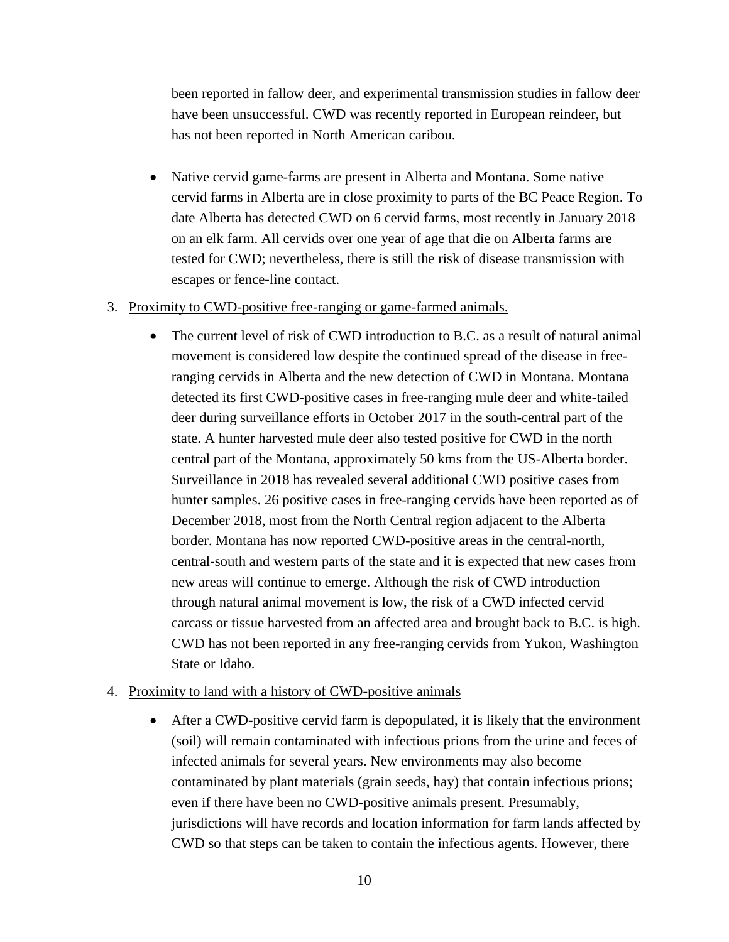been reported in fallow deer, and experimental transmission studies in fallow deer have been unsuccessful. CWD was recently reported in European reindeer, but has not been reported in North American caribou.

- Native cervid game-farms are present in Alberta and Montana. Some native cervid farms in Alberta are in close proximity to parts of the BC Peace Region. To date Alberta has detected CWD on 6 cervid farms, most recently in January 2018 on an elk farm. All cervids over one year of age that die on Alberta farms are tested for CWD; nevertheless, there is still the risk of disease transmission with escapes or fence-line contact.
- 3. Proximity to CWD-positive free-ranging or game-farmed animals.
	- The current level of risk of CWD introduction to B.C. as a result of natural animal movement is considered low despite the continued spread of the disease in freeranging cervids in Alberta and the new detection of CWD in Montana. Montana detected its first CWD-positive cases in free-ranging mule deer and white-tailed deer during surveillance efforts in October 2017 in the south-central part of the state. A hunter harvested mule deer also tested positive for CWD in the north central part of the Montana, approximately 50 kms from the US-Alberta border. Surveillance in 2018 has revealed several additional CWD positive cases from hunter samples. 26 positive cases in free-ranging cervids have been reported as of December 2018, most from the North Central region adjacent to the Alberta border. Montana has now reported CWD-positive areas in the central-north, central-south and western parts of the state and it is expected that new cases from new areas will continue to emerge. Although the risk of CWD introduction through natural animal movement is low, the risk of a CWD infected cervid carcass or tissue harvested from an affected area and brought back to B.C. is high. CWD has not been reported in any free-ranging cervids from Yukon, Washington State or Idaho.

### 4. Proximity to land with a history of CWD-positive animals

 After a CWD-positive cervid farm is depopulated, it is likely that the environment (soil) will remain contaminated with infectious prions from the urine and feces of infected animals for several years. New environments may also become contaminated by plant materials (grain seeds, hay) that contain infectious prions; even if there have been no CWD-positive animals present. Presumably, jurisdictions will have records and location information for farm lands affected by CWD so that steps can be taken to contain the infectious agents. However, there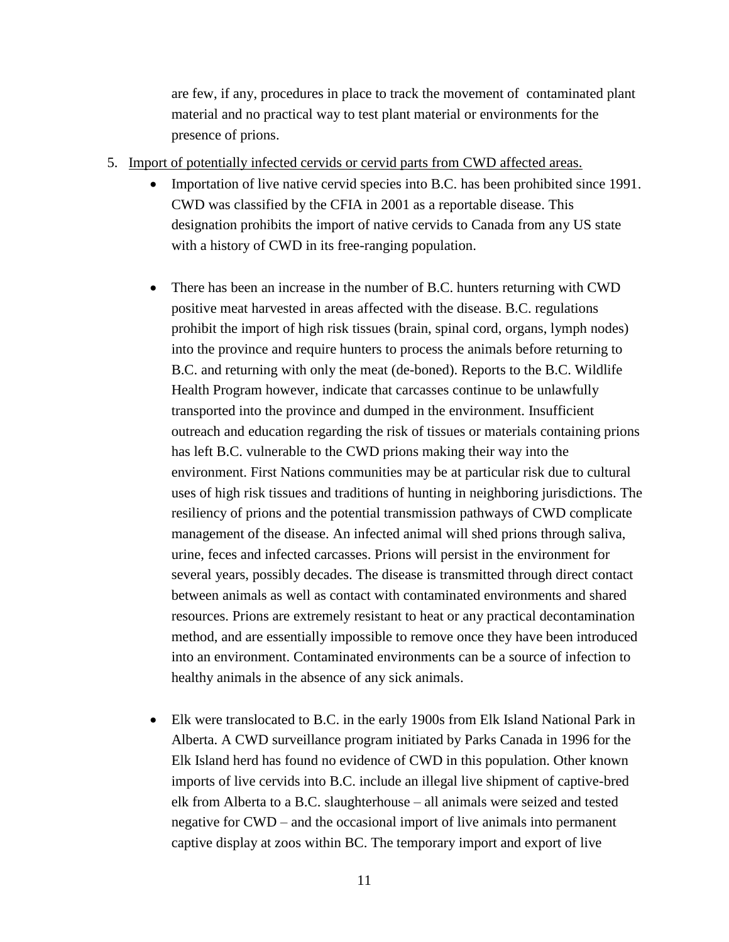are few, if any, procedures in place to track the movement of contaminated plant material and no practical way to test plant material or environments for the presence of prions.

- 5. Import of potentially infected cervids or cervid parts from CWD affected areas.
	- Importation of live native cervid species into B.C. has been prohibited since 1991. CWD was classified by the CFIA in 2001 as a reportable disease. This designation prohibits the import of native cervids to Canada from any US state with a history of CWD in its free-ranging population.
	- There has been an increase in the number of B.C. hunters returning with CWD positive meat harvested in areas affected with the disease. B.C. regulations prohibit the import of high risk tissues (brain, spinal cord, organs, lymph nodes) into the province and require hunters to process the animals before returning to B.C. and returning with only the meat (de-boned). Reports to the B.C. Wildlife Health Program however, indicate that carcasses continue to be unlawfully transported into the province and dumped in the environment. Insufficient outreach and education regarding the risk of tissues or materials containing prions has left B.C. vulnerable to the CWD prions making their way into the environment. First Nations communities may be at particular risk due to cultural uses of high risk tissues and traditions of hunting in neighboring jurisdictions. The resiliency of prions and the potential transmission pathways of CWD complicate management of the disease. An infected animal will shed prions through saliva, urine, feces and infected carcasses. Prions will persist in the environment for several years, possibly decades. The disease is transmitted through direct contact between animals as well as contact with contaminated environments and shared resources. Prions are extremely resistant to heat or any practical decontamination method, and are essentially impossible to remove once they have been introduced into an environment. Contaminated environments can be a source of infection to healthy animals in the absence of any sick animals.
	- Elk were translocated to B.C. in the early 1900s from Elk Island National Park in Alberta. A CWD surveillance program initiated by Parks Canada in 1996 for the Elk Island herd has found no evidence of CWD in this population. Other known imports of live cervids into B.C. include an illegal live shipment of captive-bred elk from Alberta to a B.C. slaughterhouse – all animals were seized and tested negative for CWD – and the occasional import of live animals into permanent captive display at zoos within BC. The temporary import and export of live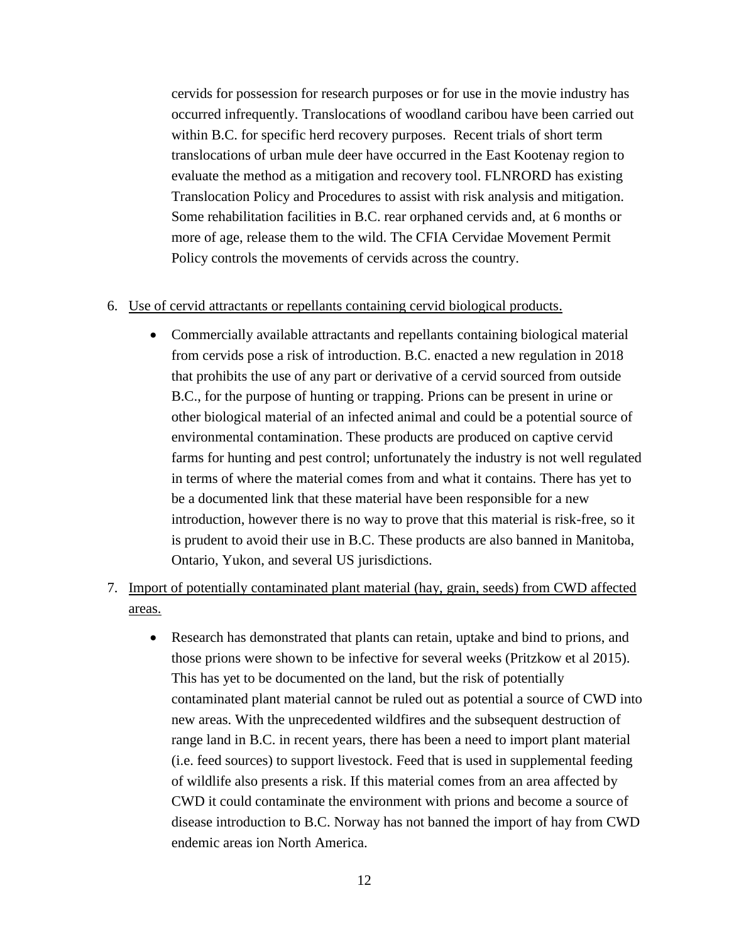cervids for possession for research purposes or for use in the movie industry has occurred infrequently. Translocations of woodland caribou have been carried out within B.C. for specific herd recovery purposes. Recent trials of short term translocations of urban mule deer have occurred in the East Kootenay region to evaluate the method as a mitigation and recovery tool. FLNRORD has existing Translocation Policy and Procedures to assist with risk analysis and mitigation. Some rehabilitation facilities in B.C. rear orphaned cervids and, at 6 months or more of age, release them to the wild. The CFIA Cervidae Movement Permit Policy controls the movements of cervids across the country.

### 6. Use of cervid attractants or repellants containing cervid biological products.

- Commercially available attractants and repellants containing biological material from cervids pose a risk of introduction. B.C. enacted a new regulation in 2018 that prohibits the use of any part or derivative of a cervid sourced from outside B.C., for the purpose of hunting or trapping. Prions can be present in urine or other biological material of an infected animal and could be a potential source of environmental contamination. These products are produced on captive cervid farms for hunting and pest control; unfortunately the industry is not well regulated in terms of where the material comes from and what it contains. There has yet to be a documented link that these material have been responsible for a new introduction, however there is no way to prove that this material is risk-free, so it is prudent to avoid their use in B.C. These products are also banned in Manitoba, Ontario, Yukon, and several US jurisdictions.
- 7. Import of potentially contaminated plant material (hay, grain, seeds) from CWD affected areas.
	- Research has demonstrated that plants can retain, uptake and bind to prions, and those prions were shown to be infective for several weeks (Pritzkow et al 2015). This has yet to be documented on the land, but the risk of potentially contaminated plant material cannot be ruled out as potential a source of CWD into new areas. With the unprecedented wildfires and the subsequent destruction of range land in B.C. in recent years, there has been a need to import plant material (i.e. feed sources) to support livestock. Feed that is used in supplemental feeding of wildlife also presents a risk. If this material comes from an area affected by CWD it could contaminate the environment with prions and become a source of disease introduction to B.C. Norway has not banned the import of hay from CWD endemic areas ion North America.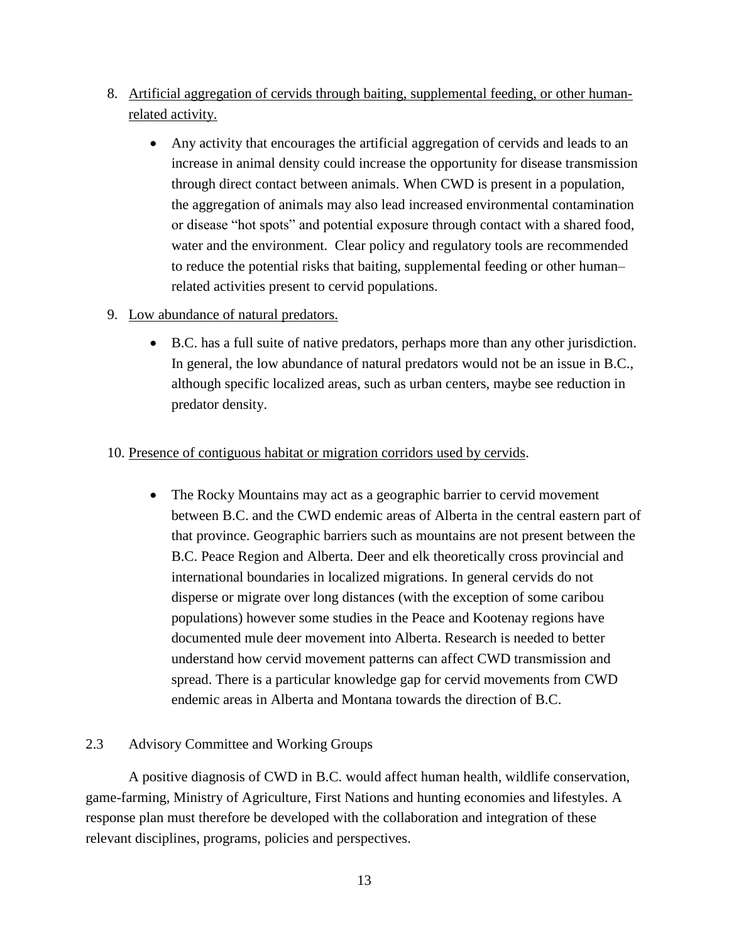- 8. Artificial aggregation of cervids through baiting, supplemental feeding, or other humanrelated activity.
	- Any activity that encourages the artificial aggregation of cervids and leads to an increase in animal density could increase the opportunity for disease transmission through direct contact between animals. When CWD is present in a population, the aggregation of animals may also lead increased environmental contamination or disease "hot spots" and potential exposure through contact with a shared food, water and the environment. Clear policy and regulatory tools are recommended to reduce the potential risks that baiting, supplemental feeding or other human– related activities present to cervid populations.

# 9. Low abundance of natural predators.

 B.C. has a full suite of native predators, perhaps more than any other jurisdiction. In general, the low abundance of natural predators would not be an issue in B.C., although specific localized areas, such as urban centers, maybe see reduction in predator density.

# 10. Presence of contiguous habitat or migration corridors used by cervids.

• The Rocky Mountains may act as a geographic barrier to cervid movement between B.C. and the CWD endemic areas of Alberta in the central eastern part of that province. Geographic barriers such as mountains are not present between the B.C. Peace Region and Alberta. Deer and elk theoretically cross provincial and international boundaries in localized migrations. In general cervids do not disperse or migrate over long distances (with the exception of some caribou populations) however some studies in the Peace and Kootenay regions have documented mule deer movement into Alberta. Research is needed to better understand how cervid movement patterns can affect CWD transmission and spread. There is a particular knowledge gap for cervid movements from CWD endemic areas in Alberta and Montana towards the direction of B.C.

# 2.3 Advisory Committee and Working Groups

A positive diagnosis of CWD in B.C. would affect human health, wildlife conservation, game-farming, Ministry of Agriculture, First Nations and hunting economies and lifestyles. A response plan must therefore be developed with the collaboration and integration of these relevant disciplines, programs, policies and perspectives.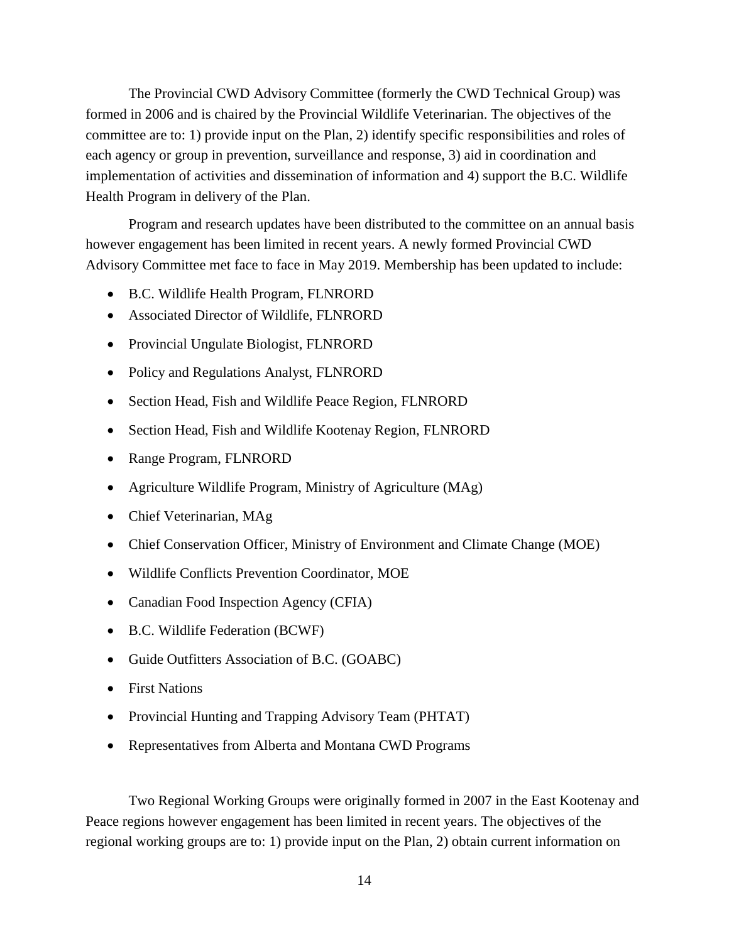The Provincial CWD Advisory Committee (formerly the CWD Technical Group) was formed in 2006 and is chaired by the Provincial Wildlife Veterinarian. The objectives of the committee are to: 1) provide input on the Plan, 2) identify specific responsibilities and roles of each agency or group in prevention, surveillance and response, 3) aid in coordination and implementation of activities and dissemination of information and 4) support the B.C. Wildlife Health Program in delivery of the Plan.

Program and research updates have been distributed to the committee on an annual basis however engagement has been limited in recent years. A newly formed Provincial CWD Advisory Committee met face to face in May 2019. Membership has been updated to include:

- B.C. Wildlife Health Program, FLNRORD
- Associated Director of Wildlife, FLNRORD
- Provincial Ungulate Biologist, FLNRORD
- Policy and Regulations Analyst, FLNRORD
- Section Head, Fish and Wildlife Peace Region, FLNRORD
- Section Head, Fish and Wildlife Kootenay Region, FLNRORD
- Range Program, FLNRORD
- Agriculture Wildlife Program, Ministry of Agriculture (MAg)
- Chief Veterinarian, MAg
- Chief Conservation Officer, Ministry of Environment and Climate Change (MOE)
- Wildlife Conflicts Prevention Coordinator, MOE
- Canadian Food Inspection Agency (CFIA)
- B.C. Wildlife Federation (BCWF)
- Guide Outfitters Association of B.C. (GOABC)
- First Nations
- Provincial Hunting and Trapping Advisory Team (PHTAT)
- Representatives from Alberta and Montana CWD Programs

Two Regional Working Groups were originally formed in 2007 in the East Kootenay and Peace regions however engagement has been limited in recent years. The objectives of the regional working groups are to: 1) provide input on the Plan, 2) obtain current information on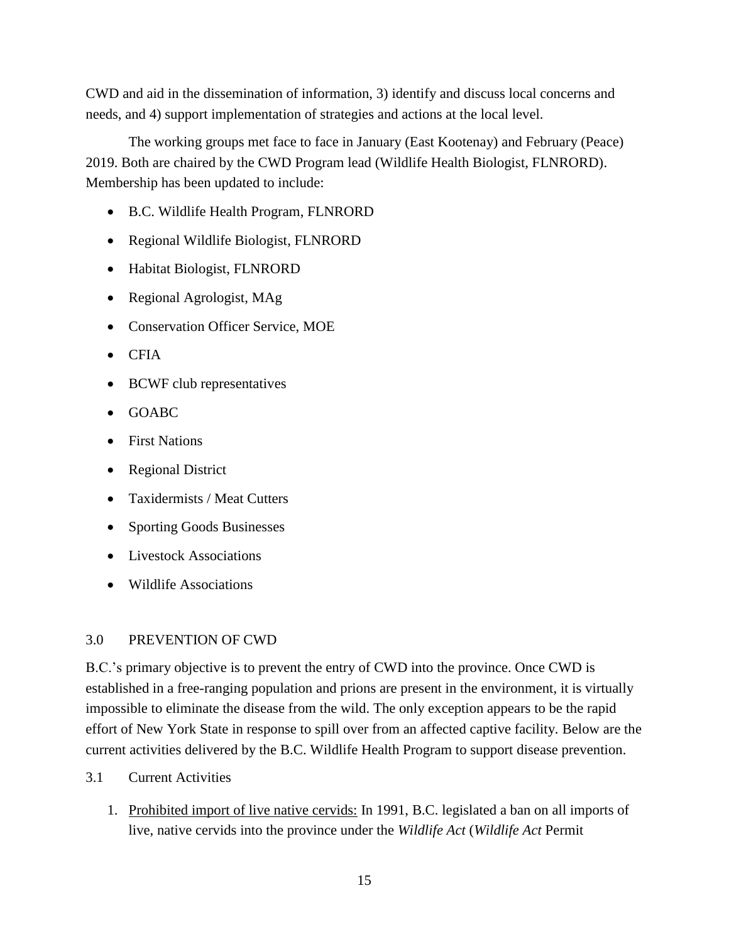CWD and aid in the dissemination of information, 3) identify and discuss local concerns and needs, and 4) support implementation of strategies and actions at the local level.

The working groups met face to face in January (East Kootenay) and February (Peace) 2019. Both are chaired by the CWD Program lead (Wildlife Health Biologist, FLNRORD). Membership has been updated to include:

- B.C. Wildlife Health Program, FLNRORD
- Regional Wildlife Biologist, FLNRORD
- Habitat Biologist, FLNRORD
- Regional Agrologist, MAg
- Conservation Officer Service, MOE
- CFIA
- BCWF club representatives
- GOABC
- First Nations
- Regional District
- Taxidermists / Meat Cutters
- Sporting Goods Businesses
- Livestock Associations
- Wildlife Associations

# 3.0 PREVENTION OF CWD

B.C.'s primary objective is to prevent the entry of CWD into the province. Once CWD is established in a free-ranging population and prions are present in the environment, it is virtually impossible to eliminate the disease from the wild. The only exception appears to be the rapid effort of New York State in response to spill over from an affected captive facility. Below are the current activities delivered by the B.C. Wildlife Health Program to support disease prevention.

- 3.1 Current Activities
	- 1. Prohibited import of live native cervids: In 1991, B.C. legislated a ban on all imports of live, native cervids into the province under the *Wildlife Act* (*Wildlife Act* Permit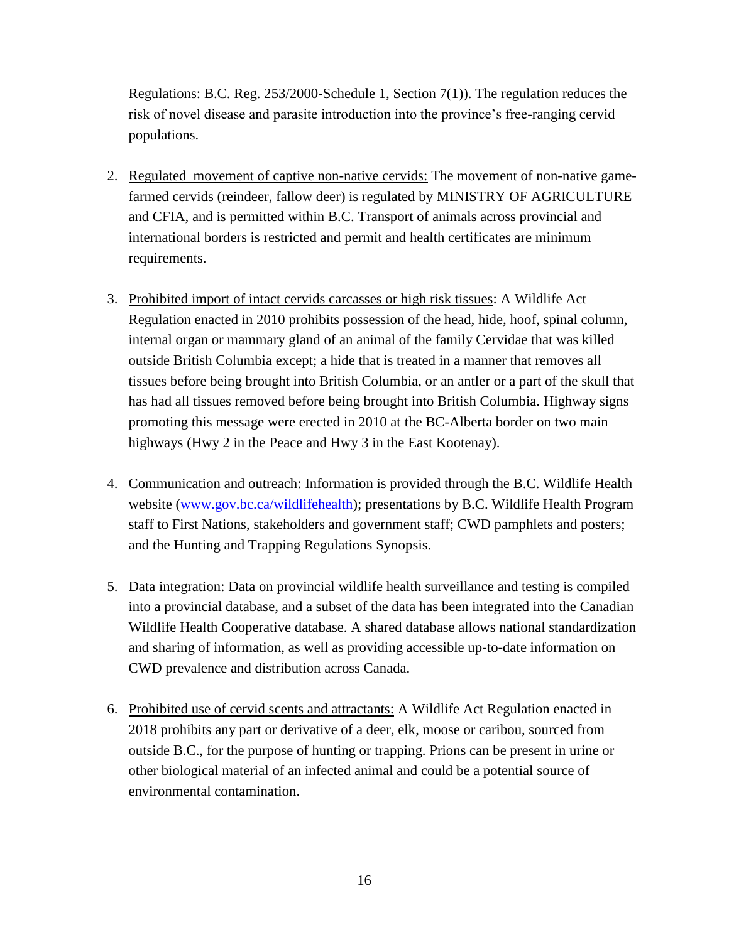Regulations: B.C. Reg. 253/2000-Schedule 1, Section 7(1)). The regulation reduces the risk of novel disease and parasite introduction into the province's free-ranging cervid populations.

- 2. Regulated movement of captive non-native cervids: The movement of non-native gamefarmed cervids (reindeer, fallow deer) is regulated by MINISTRY OF AGRICULTURE and CFIA, and is permitted within B.C. Transport of animals across provincial and international borders is restricted and permit and health certificates are minimum requirements.
- 3. Prohibited import of intact cervids carcasses or high risk tissues: A Wildlife Act Regulation enacted in 2010 prohibits possession of the head, hide, hoof, spinal column, internal organ or mammary gland of an animal of the family Cervidae that was killed outside British Columbia except; a hide that is treated in a manner that removes all tissues before being brought into British Columbia, or an antler or a part of the skull that has had all tissues removed before being brought into British Columbia. Highway signs promoting this message were erected in 2010 at the BC-Alberta border on two main highways (Hwy 2 in the Peace and Hwy 3 in the East Kootenay).
- 4. Communication and outreach: Information is provided through the B.C. Wildlife Health website [\(www.gov.bc.ca/wildlifehealth\)](http://www.gov.bc.ca/wildlifehealth); presentations by B.C. Wildlife Health Program staff to First Nations, stakeholders and government staff; CWD pamphlets and posters; and the Hunting and Trapping Regulations Synopsis.
- 5. Data integration: Data on provincial wildlife health surveillance and testing is compiled into a provincial database, and a subset of the data has been integrated into the Canadian Wildlife Health Cooperative database. A shared database allows national standardization and sharing of information, as well as providing accessible up-to-date information on CWD prevalence and distribution across Canada.
- 6. Prohibited use of cervid scents and attractants: A Wildlife Act Regulation enacted in 2018 prohibits any part or derivative of a deer, elk, moose or caribou, sourced from outside B.C., for the purpose of hunting or trapping. Prions can be present in urine or other biological material of an infected animal and could be a potential source of environmental contamination.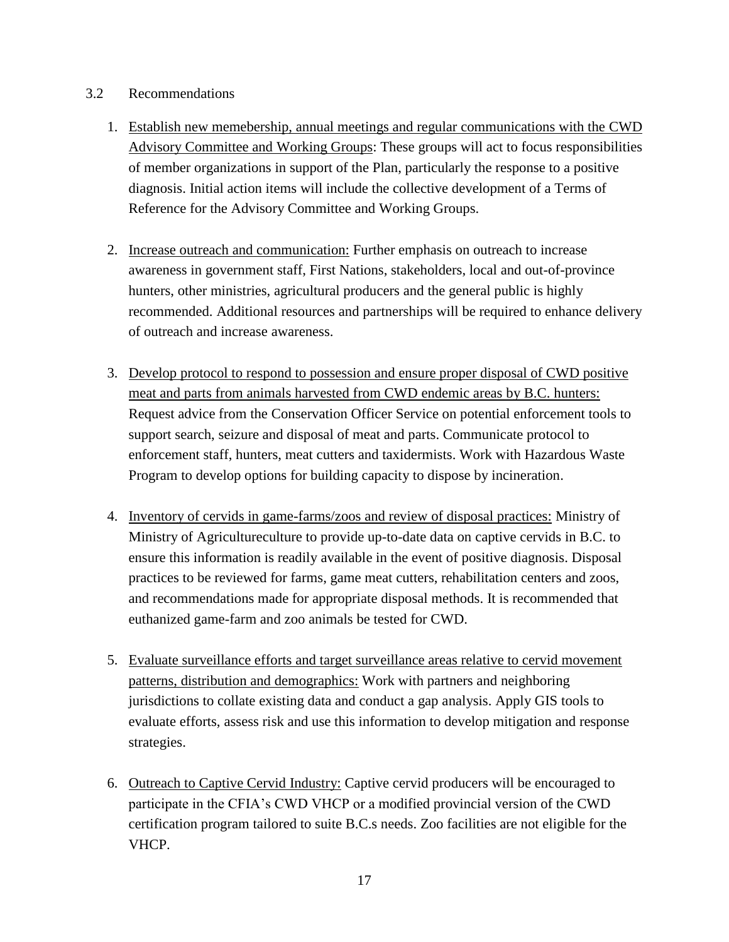### 3.2 Recommendations

- 1. Establish new memebership, annual meetings and regular communications with the CWD Advisory Committee and Working Groups: These groups will act to focus responsibilities of member organizations in support of the Plan, particularly the response to a positive diagnosis. Initial action items will include the collective development of a Terms of Reference for the Advisory Committee and Working Groups.
- 2. Increase outreach and communication: Further emphasis on outreach to increase awareness in government staff, First Nations, stakeholders, local and out-of-province hunters, other ministries, agricultural producers and the general public is highly recommended. Additional resources and partnerships will be required to enhance delivery of outreach and increase awareness.
- 3. Develop protocol to respond to possession and ensure proper disposal of CWD positive meat and parts from animals harvested from CWD endemic areas by B.C. hunters: Request advice from the Conservation Officer Service on potential enforcement tools to support search, seizure and disposal of meat and parts. Communicate protocol to enforcement staff, hunters, meat cutters and taxidermists. Work with Hazardous Waste Program to develop options for building capacity to dispose by incineration.
- 4. Inventory of cervids in game-farms/zoos and review of disposal practices: Ministry of Ministry of Agricultureculture to provide up-to-date data on captive cervids in B.C. to ensure this information is readily available in the event of positive diagnosis. Disposal practices to be reviewed for farms, game meat cutters, rehabilitation centers and zoos, and recommendations made for appropriate disposal methods. It is recommended that euthanized game-farm and zoo animals be tested for CWD.
- 5. Evaluate surveillance efforts and target surveillance areas relative to cervid movement patterns, distribution and demographics: Work with partners and neighboring jurisdictions to collate existing data and conduct a gap analysis. Apply GIS tools to evaluate efforts, assess risk and use this information to develop mitigation and response strategies.
- 6. Outreach to Captive Cervid Industry: Captive cervid producers will be encouraged to participate in the CFIA's CWD VHCP or a modified provincial version of the CWD certification program tailored to suite B.C.s needs. Zoo facilities are not eligible for the VHCP.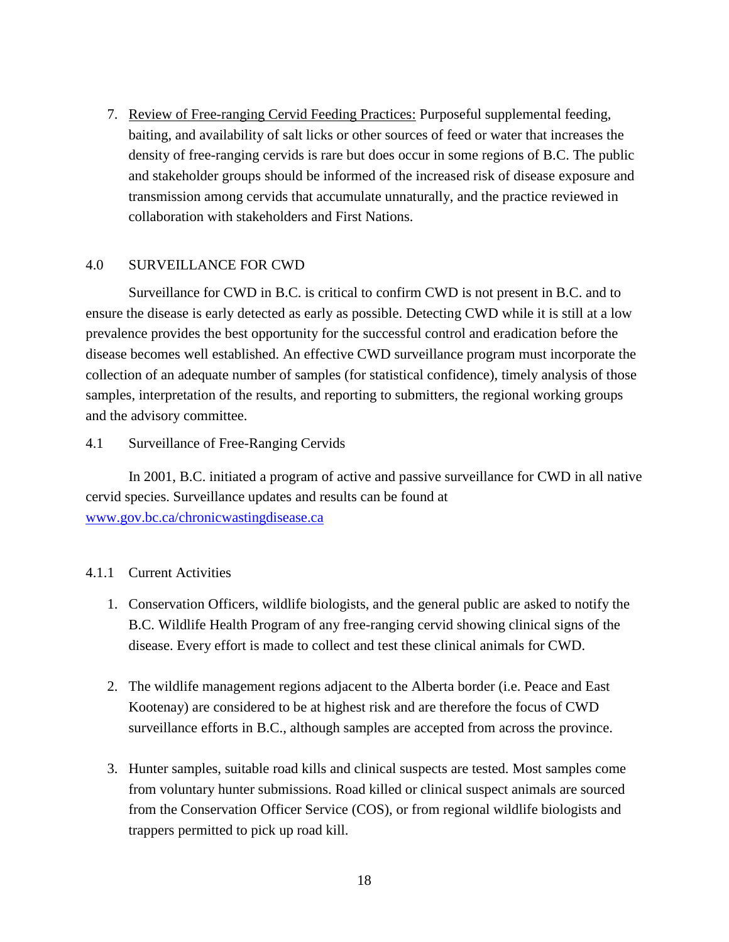7. Review of Free-ranging Cervid Feeding Practices: Purposeful supplemental feeding, baiting, and availability of salt licks or other sources of feed or water that increases the density of free-ranging cervids is rare but does occur in some regions of B.C. The public and stakeholder groups should be informed of the increased risk of disease exposure and transmission among cervids that accumulate unnaturally, and the practice reviewed in collaboration with stakeholders and First Nations.

## 4.0 SURVEILLANCE FOR CWD

Surveillance for CWD in B.C. is critical to confirm CWD is not present in B.C. and to ensure the disease is early detected as early as possible. Detecting CWD while it is still at a low prevalence provides the best opportunity for the successful control and eradication before the disease becomes well established. An effective CWD surveillance program must incorporate the collection of an adequate number of samples (for statistical confidence), timely analysis of those samples, interpretation of the results, and reporting to submitters, the regional working groups and the advisory committee.

### 4.1 Surveillance of Free-Ranging Cervids

In 2001, B.C. initiated a program of active and passive surveillance for CWD in all native cervid species. Surveillance updates and results can be found at [www.gov.bc.ca/chronicwastingdisease.ca](http://www.gov.bc.ca/chronicwastingdisease.ca)

# 4.1.1 Current Activities

- 1. Conservation Officers, wildlife biologists, and the general public are asked to notify the B.C. Wildlife Health Program of any free-ranging cervid showing clinical signs of the disease. Every effort is made to collect and test these clinical animals for CWD.
- 2. The wildlife management regions adjacent to the Alberta border (i.e. Peace and East Kootenay) are considered to be at highest risk and are therefore the focus of CWD surveillance efforts in B.C., although samples are accepted from across the province.
- 3. Hunter samples, suitable road kills and clinical suspects are tested. Most samples come from voluntary hunter submissions. Road killed or clinical suspect animals are sourced from the Conservation Officer Service (COS), or from regional wildlife biologists and trappers permitted to pick up road kill.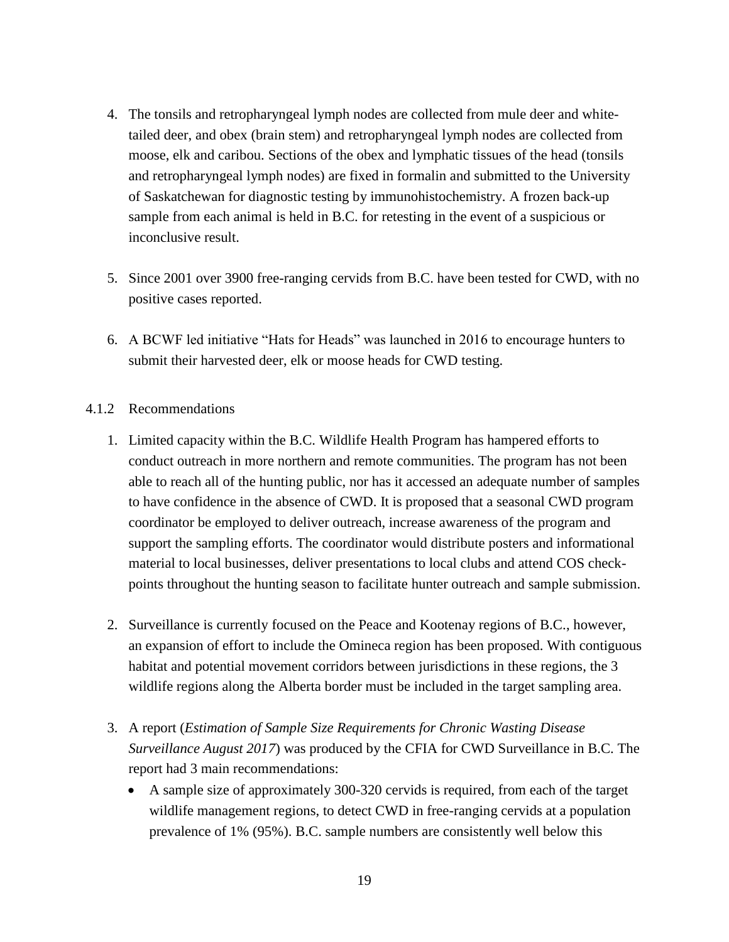- 4. The tonsils and retropharyngeal lymph nodes are collected from mule deer and whitetailed deer, and obex (brain stem) and retropharyngeal lymph nodes are collected from moose, elk and caribou. Sections of the obex and lymphatic tissues of the head (tonsils and retropharyngeal lymph nodes) are fixed in formalin and submitted to the University of Saskatchewan for diagnostic testing by immunohistochemistry. A frozen back-up sample from each animal is held in B.C. for retesting in the event of a suspicious or inconclusive result.
- 5. Since 2001 over 3900 free-ranging cervids from B.C. have been tested for CWD, with no positive cases reported.
- 6. A BCWF led initiative "Hats for Heads" was launched in 2016 to encourage hunters to submit their harvested deer, elk or moose heads for CWD testing.

### 4.1.2 Recommendations

- 1. Limited capacity within the B.C. Wildlife Health Program has hampered efforts to conduct outreach in more northern and remote communities. The program has not been able to reach all of the hunting public, nor has it accessed an adequate number of samples to have confidence in the absence of CWD. It is proposed that a seasonal CWD program coordinator be employed to deliver outreach, increase awareness of the program and support the sampling efforts. The coordinator would distribute posters and informational material to local businesses, deliver presentations to local clubs and attend COS checkpoints throughout the hunting season to facilitate hunter outreach and sample submission.
- 2. Surveillance is currently focused on the Peace and Kootenay regions of B.C., however, an expansion of effort to include the Omineca region has been proposed. With contiguous habitat and potential movement corridors between jurisdictions in these regions, the 3 wildlife regions along the Alberta border must be included in the target sampling area.
- 3. A report (*Estimation of Sample Size Requirements for Chronic Wasting Disease Surveillance August 2017*) was produced by the CFIA for CWD Surveillance in B.C. The report had 3 main recommendations:
	- A sample size of approximately 300-320 cervids is required, from each of the target wildlife management regions, to detect CWD in free-ranging cervids at a population prevalence of 1% (95%). B.C. sample numbers are consistently well below this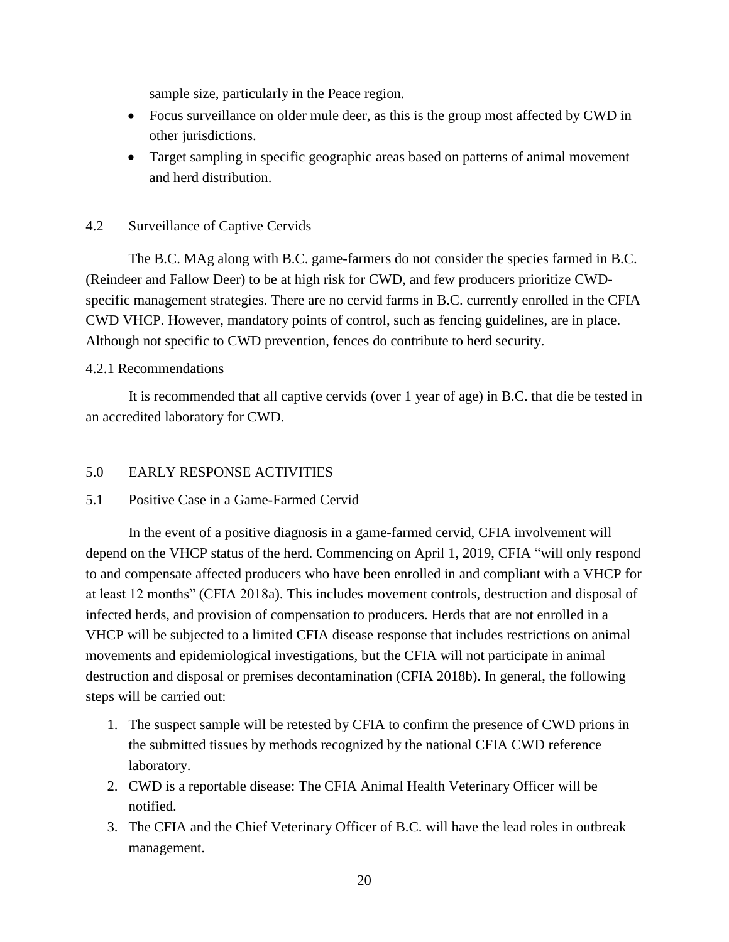sample size, particularly in the Peace region.

- Focus surveillance on older mule deer, as this is the group most affected by CWD in other jurisdictions.
- Target sampling in specific geographic areas based on patterns of animal movement and herd distribution.

# 4.2 Surveillance of Captive Cervids

The B.C. MAg along with B.C. game-farmers do not consider the species farmed in B.C. (Reindeer and Fallow Deer) to be at high risk for CWD, and few producers prioritize CWDspecific management strategies. There are no cervid farms in B.C. currently enrolled in the CFIA CWD VHCP. However, mandatory points of control, such as fencing guidelines, are in place. Although not specific to CWD prevention, fences do contribute to herd security.

### 4.2.1 Recommendations

It is recommended that all captive cervids (over 1 year of age) in B.C. that die be tested in an accredited laboratory for CWD.

# 5.0 EARLY RESPONSE ACTIVITIES

### 5.1 Positive Case in a Game-Farmed Cervid

In the event of a positive diagnosis in a game-farmed cervid, CFIA involvement will depend on the VHCP status of the herd. Commencing on April 1, 2019, CFIA "will only respond to and compensate affected producers who have been enrolled in and compliant with a VHCP for at least 12 months" (CFIA 2018a). This includes movement controls, destruction and disposal of infected herds, and provision of compensation to producers. Herds that are not enrolled in a VHCP will be subjected to a limited CFIA disease response that includes restrictions on animal movements and epidemiological investigations, but the CFIA will not participate in animal destruction and disposal or premises decontamination (CFIA 2018b). In general, the following steps will be carried out:

- 1. The suspect sample will be retested by CFIA to confirm the presence of CWD prions in the submitted tissues by methods recognized by the national CFIA CWD reference laboratory.
- 2. CWD is a reportable disease: The CFIA Animal Health Veterinary Officer will be notified.
- 3. The CFIA and the Chief Veterinary Officer of B.C. will have the lead roles in outbreak management.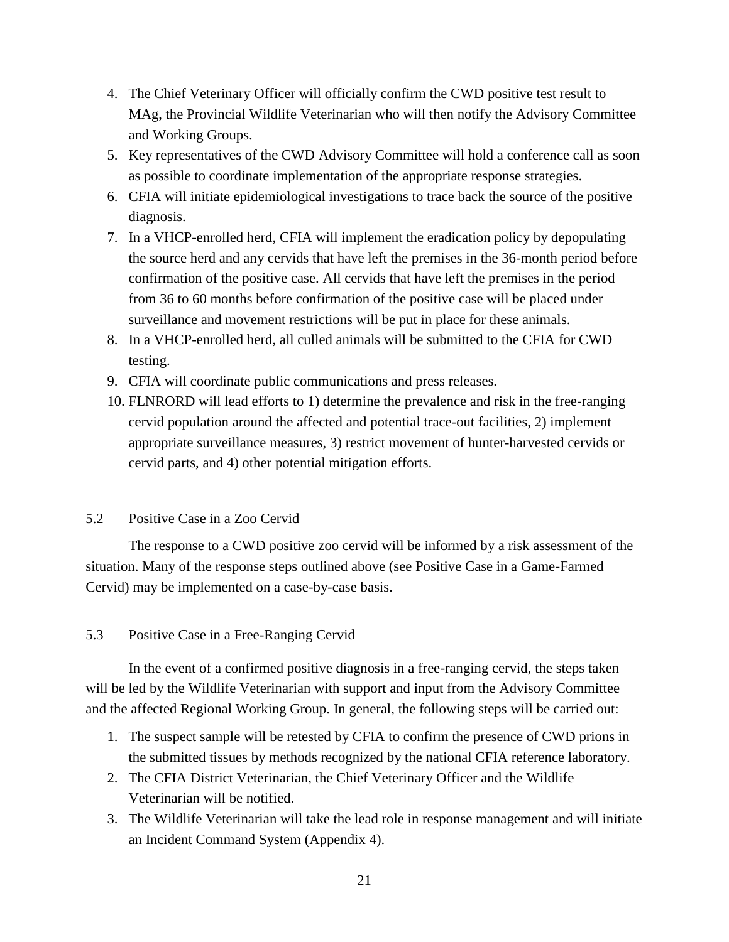- 4. The Chief Veterinary Officer will officially confirm the CWD positive test result to MAg, the Provincial Wildlife Veterinarian who will then notify the Advisory Committee and Working Groups.
- 5. Key representatives of the CWD Advisory Committee will hold a conference call as soon as possible to coordinate implementation of the appropriate response strategies.
- 6. CFIA will initiate epidemiological investigations to trace back the source of the positive diagnosis.
- 7. In a VHCP-enrolled herd, CFIA will implement the eradication policy by depopulating the source herd and any cervids that have left the premises in the 36-month period before confirmation of the positive case. All cervids that have left the premises in the period from 36 to 60 months before confirmation of the positive case will be placed under surveillance and movement restrictions will be put in place for these animals.
- 8. In a VHCP-enrolled herd, all culled animals will be submitted to the CFIA for CWD testing.
- 9. CFIA will coordinate public communications and press releases.
- 10. FLNRORD will lead efforts to 1) determine the prevalence and risk in the free-ranging cervid population around the affected and potential trace-out facilities, 2) implement appropriate surveillance measures, 3) restrict movement of hunter-harvested cervids or cervid parts, and 4) other potential mitigation efforts.

### 5.2 Positive Case in a Zoo Cervid

The response to a CWD positive zoo cervid will be informed by a risk assessment of the situation. Many of the response steps outlined above (see Positive Case in a Game-Farmed Cervid) may be implemented on a case-by-case basis.

# 5.3 Positive Case in a Free-Ranging Cervid

In the event of a confirmed positive diagnosis in a free-ranging cervid, the steps taken will be led by the Wildlife Veterinarian with support and input from the Advisory Committee and the affected Regional Working Group. In general, the following steps will be carried out:

- 1. The suspect sample will be retested by CFIA to confirm the presence of CWD prions in the submitted tissues by methods recognized by the national CFIA reference laboratory.
- 2. The CFIA District Veterinarian, the Chief Veterinary Officer and the Wildlife Veterinarian will be notified.
- 3. The Wildlife Veterinarian will take the lead role in response management and will initiate an Incident Command System (Appendix 4).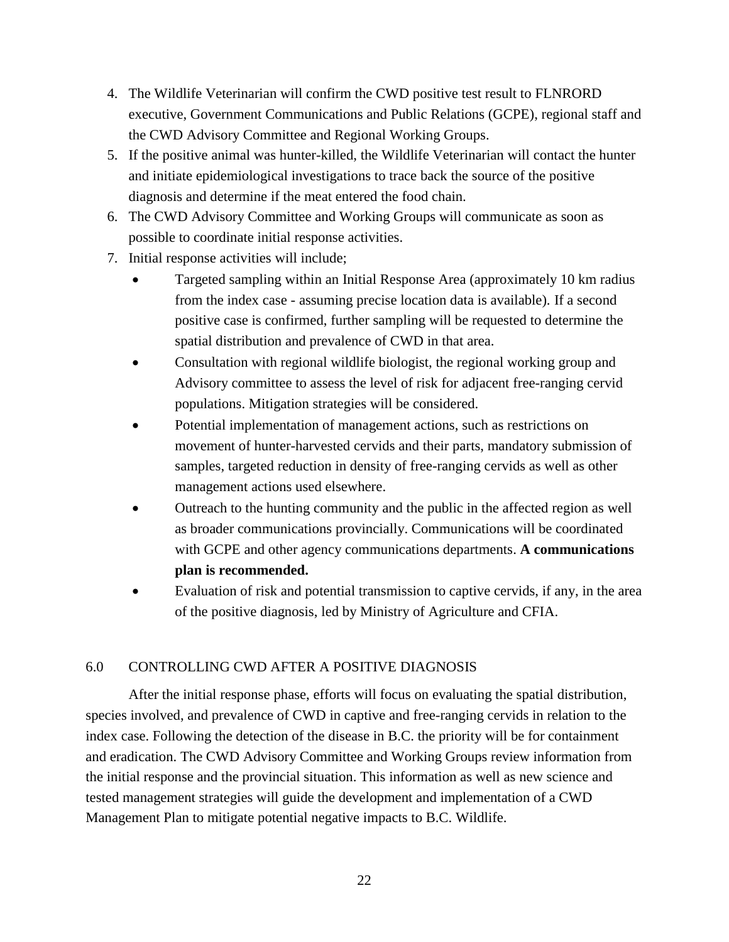- 4. The Wildlife Veterinarian will confirm the CWD positive test result to FLNRORD executive, Government Communications and Public Relations (GCPE), regional staff and the CWD Advisory Committee and Regional Working Groups.
- 5. If the positive animal was hunter-killed, the Wildlife Veterinarian will contact the hunter and initiate epidemiological investigations to trace back the source of the positive diagnosis and determine if the meat entered the food chain.
- 6. The CWD Advisory Committee and Working Groups will communicate as soon as possible to coordinate initial response activities.
- 7. Initial response activities will include;
	- Targeted sampling within an Initial Response Area (approximately 10 km radius from the index case - assuming precise location data is available). If a second positive case is confirmed, further sampling will be requested to determine the spatial distribution and prevalence of CWD in that area.
	- Consultation with regional wildlife biologist, the regional working group and Advisory committee to assess the level of risk for adjacent free-ranging cervid populations. Mitigation strategies will be considered.
	- Potential implementation of management actions, such as restrictions on movement of hunter-harvested cervids and their parts, mandatory submission of samples, targeted reduction in density of free-ranging cervids as well as other management actions used elsewhere.
	- Outreach to the hunting community and the public in the affected region as well as broader communications provincially. Communications will be coordinated with GCPE and other agency communications departments. **A communications plan is recommended.**
	- Evaluation of risk and potential transmission to captive cervids, if any, in the area of the positive diagnosis, led by Ministry of Agriculture and CFIA.

# 6.0 CONTROLLING CWD AFTER A POSITIVE DIAGNOSIS

After the initial response phase, efforts will focus on evaluating the spatial distribution, species involved, and prevalence of CWD in captive and free-ranging cervids in relation to the index case. Following the detection of the disease in B.C. the priority will be for containment and eradication. The CWD Advisory Committee and Working Groups review information from the initial response and the provincial situation. This information as well as new science and tested management strategies will guide the development and implementation of a CWD Management Plan to mitigate potential negative impacts to B.C. Wildlife.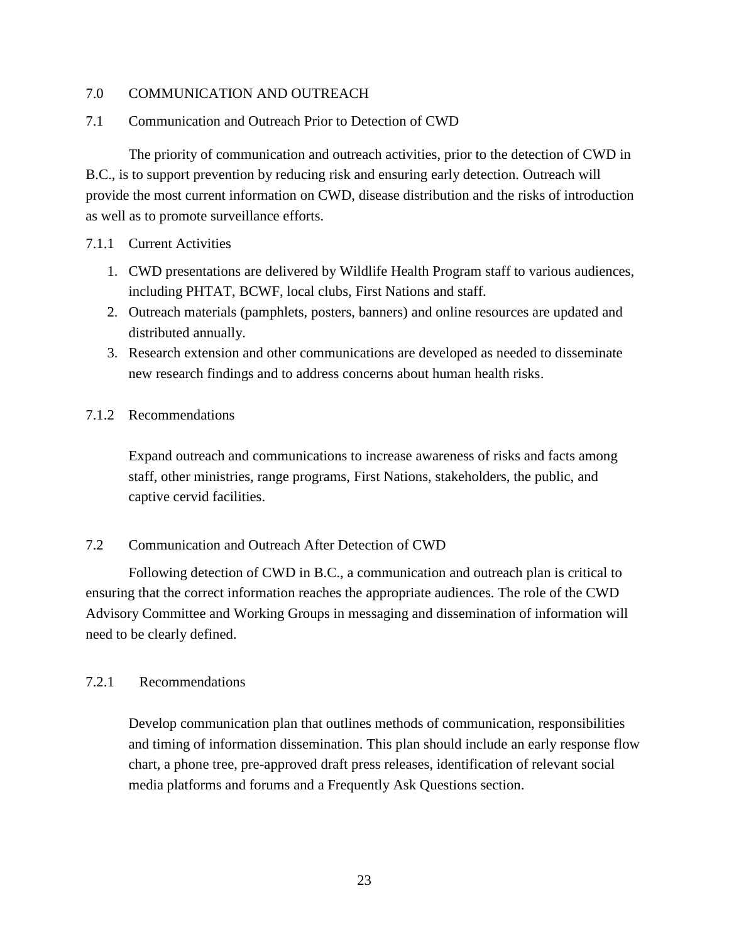## 7.0 COMMUNICATION AND OUTREACH

# 7.1 Communication and Outreach Prior to Detection of CWD

The priority of communication and outreach activities, prior to the detection of CWD in B.C., is to support prevention by reducing risk and ensuring early detection. Outreach will provide the most current information on CWD, disease distribution and the risks of introduction as well as to promote surveillance efforts.

### 7.1.1 Current Activities

- 1. CWD presentations are delivered by Wildlife Health Program staff to various audiences, including PHTAT, BCWF, local clubs, First Nations and staff.
- 2. Outreach materials (pamphlets, posters, banners) and online resources are updated and distributed annually.
- 3. Research extension and other communications are developed as needed to disseminate new research findings and to address concerns about human health risks.

## 7.1.2 Recommendations

Expand outreach and communications to increase awareness of risks and facts among staff, other ministries, range programs, First Nations, stakeholders, the public, and captive cervid facilities.

### 7.2 Communication and Outreach After Detection of CWD

Following detection of CWD in B.C., a communication and outreach plan is critical to ensuring that the correct information reaches the appropriate audiences. The role of the CWD Advisory Committee and Working Groups in messaging and dissemination of information will need to be clearly defined.

### 7.2.1 Recommendations

Develop communication plan that outlines methods of communication, responsibilities and timing of information dissemination. This plan should include an early response flow chart, a phone tree, pre-approved draft press releases, identification of relevant social media platforms and forums and a Frequently Ask Questions section.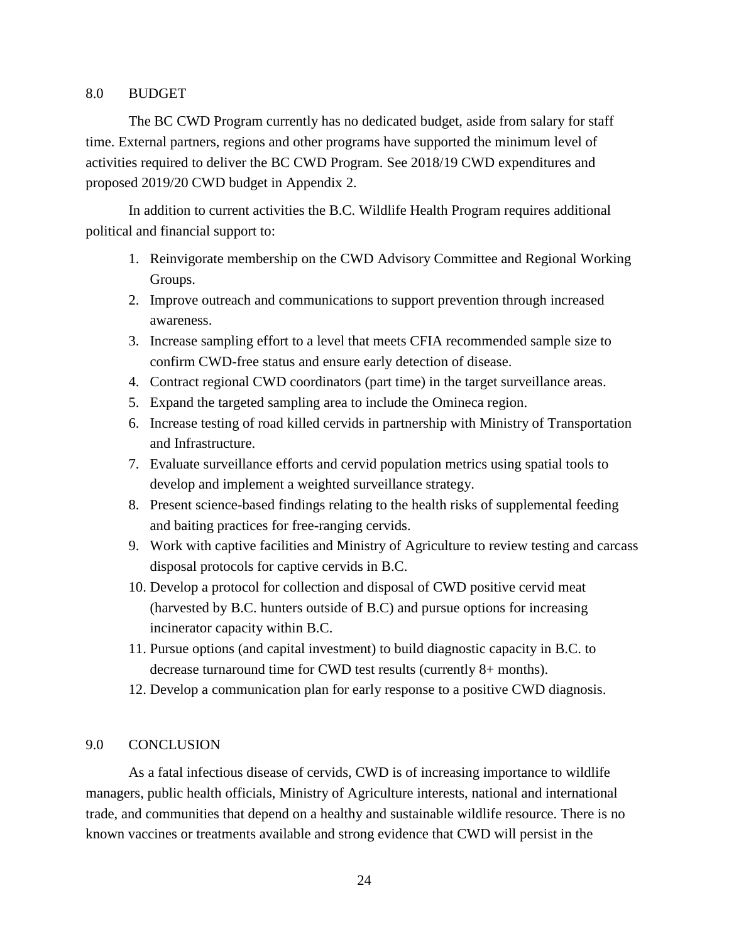### 8.0 BUDGET

The BC CWD Program currently has no dedicated budget, aside from salary for staff time. External partners, regions and other programs have supported the minimum level of activities required to deliver the BC CWD Program. See 2018/19 CWD expenditures and proposed 2019/20 CWD budget in Appendix 2.

In addition to current activities the B.C. Wildlife Health Program requires additional political and financial support to:

- 1. Reinvigorate membership on the CWD Advisory Committee and Regional Working Groups.
- 2. Improve outreach and communications to support prevention through increased awareness.
- 3. Increase sampling effort to a level that meets CFIA recommended sample size to confirm CWD-free status and ensure early detection of disease.
- 4. Contract regional CWD coordinators (part time) in the target surveillance areas.
- 5. Expand the targeted sampling area to include the Omineca region.
- 6. Increase testing of road killed cervids in partnership with Ministry of Transportation and Infrastructure.
- 7. Evaluate surveillance efforts and cervid population metrics using spatial tools to develop and implement a weighted surveillance strategy.
- 8. Present science-based findings relating to the health risks of supplemental feeding and baiting practices for free-ranging cervids.
- 9. Work with captive facilities and Ministry of Agriculture to review testing and carcass disposal protocols for captive cervids in B.C.
- 10. Develop a protocol for collection and disposal of CWD positive cervid meat (harvested by B.C. hunters outside of B.C) and pursue options for increasing incinerator capacity within B.C.
- 11. Pursue options (and capital investment) to build diagnostic capacity in B.C. to decrease turnaround time for CWD test results (currently 8+ months).
- 12. Develop a communication plan for early response to a positive CWD diagnosis.

### 9.0 CONCLUSION

As a fatal infectious disease of cervids, CWD is of increasing importance to wildlife managers, public health officials, Ministry of Agriculture interests, national and international trade, and communities that depend on a healthy and sustainable wildlife resource. There is no known vaccines or treatments available and strong evidence that CWD will persist in the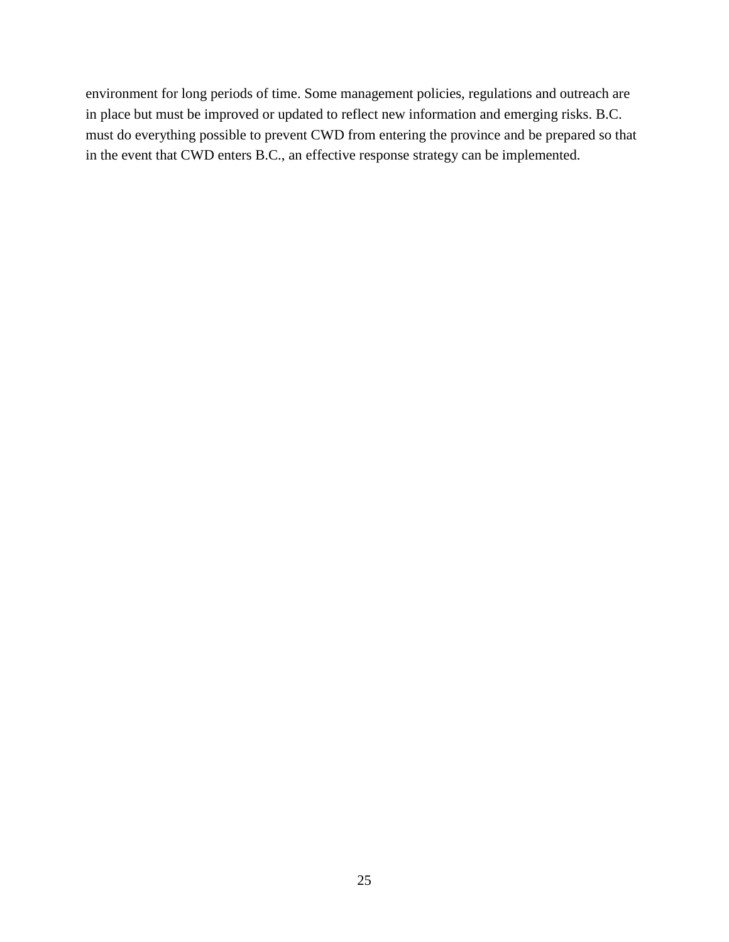environment for long periods of time. Some management policies, regulations and outreach are in place but must be improved or updated to reflect new information and emerging risks. B.C. must do everything possible to prevent CWD from entering the province and be prepared so that in the event that CWD enters B.C., an effective response strategy can be implemented.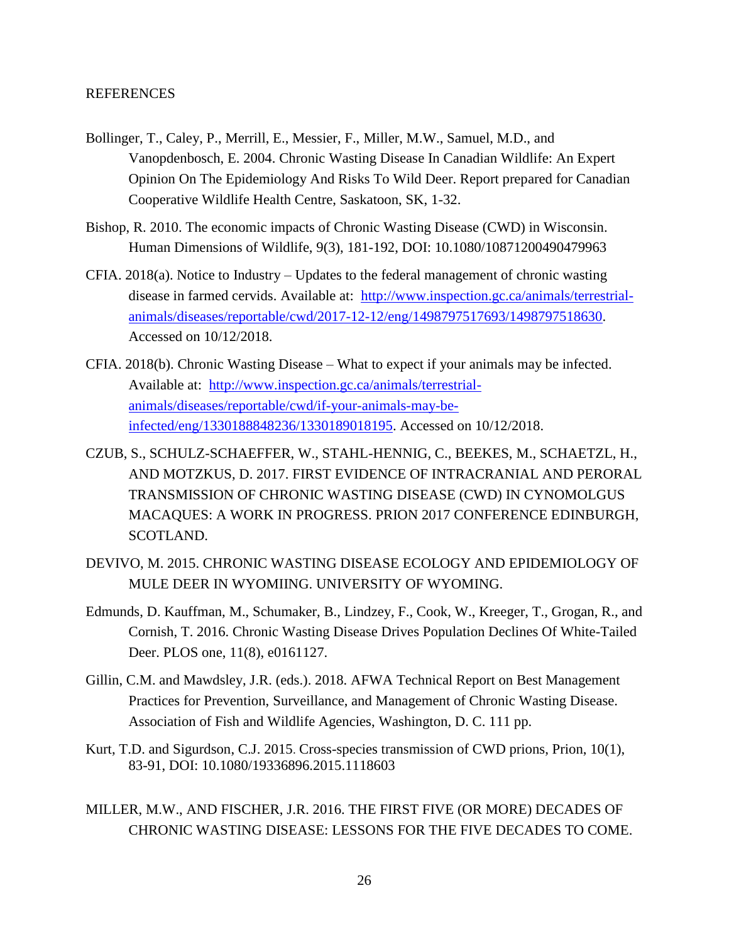### REFERENCES

- Bollinger, T., Caley, P., Merrill, E., Messier, F., Miller, M.W., Samuel, M.D., and Vanopdenbosch, E. 2004. Chronic Wasting Disease In Canadian Wildlife: An Expert Opinion On The Epidemiology And Risks To Wild Deer. Report prepared for Canadian Cooperative Wildlife Health Centre, Saskatoon, SK, 1-32.
- Bishop, R. 2010. The economic impacts of Chronic Wasting Disease (CWD) in Wisconsin. Human Dimensions of Wildlife, 9(3), 181-192, DOI: 10.1080/10871200490479963
- CFIA. 2018(a). Notice to Industry Updates to the federal management of chronic wasting disease in farmed cervids. Available at: [http://www.inspection.gc.ca/animals/terrestrial](http://www.inspection.gc.ca/animals/terrestrial-animals/diseases/reportable/cwd/2017-12-12/eng/1498797517693/1498797518630)[animals/diseases/reportable/cwd/2017-12-12/eng/1498797517693/1498797518630.](http://www.inspection.gc.ca/animals/terrestrial-animals/diseases/reportable/cwd/2017-12-12/eng/1498797517693/1498797518630) Accessed on 10/12/2018.
- CFIA. 2018(b). Chronic Wasting Disease What to expect if your animals may be infected. Available at: [http://www.inspection.gc.ca/animals/terrestrial](http://www.inspection.gc.ca/animals/terrestrial-animals/diseases/reportable/cwd/if-your-animals-may-be-infected/eng/1330188848236/1330189018195)[animals/diseases/reportable/cwd/if-your-animals-may-be](http://www.inspection.gc.ca/animals/terrestrial-animals/diseases/reportable/cwd/if-your-animals-may-be-infected/eng/1330188848236/1330189018195)[infected/eng/1330188848236/1330189018195.](http://www.inspection.gc.ca/animals/terrestrial-animals/diseases/reportable/cwd/if-your-animals-may-be-infected/eng/1330188848236/1330189018195) Accessed on 10/12/2018.
- CZUB, S., SCHULZ-SCHAEFFER, W., STAHL-HENNIG, C., BEEKES, M., SCHAETZL, H., AND MOTZKUS, D. 2017. FIRST EVIDENCE OF INTRACRANIAL AND PERORAL TRANSMISSION OF CHRONIC WASTING DISEASE (CWD) IN CYNOMOLGUS MACAQUES: A WORK IN PROGRESS. PRION 2017 CONFERENCE EDINBURGH, SCOTLAND.
- DEVIVO, M. 2015. CHRONIC WASTING DISEASE ECOLOGY AND EPIDEMIOLOGY OF MULE DEER IN WYOMIING. UNIVERSITY OF WYOMING.
- Edmunds, D. Kauffman, M., Schumaker, B., Lindzey, F., Cook, W., Kreeger, T., Grogan, R., and Cornish, T. 2016. Chronic Wasting Disease Drives Population Declines Of White-Tailed Deer. PLOS one, 11(8), e0161127.
- Gillin, C.M. and Mawdsley, J.R. (eds.). 2018. AFWA Technical Report on Best Management Practices for Prevention, Surveillance, and Management of Chronic Wasting Disease. Association of Fish and Wildlife Agencies, Washington, D. C. 111 pp.
- Kurt, T.D. and Sigurdson, C.J. 2015. Cross-species transmission of CWD prions, Prion, 10(1), 83-91, DOI: 10.1080/19336896.2015.1118603
- MILLER, M.W., AND FISCHER, J.R. 2016. THE FIRST FIVE (OR MORE) DECADES OF CHRONIC WASTING DISEASE: LESSONS FOR THE FIVE DECADES TO COME.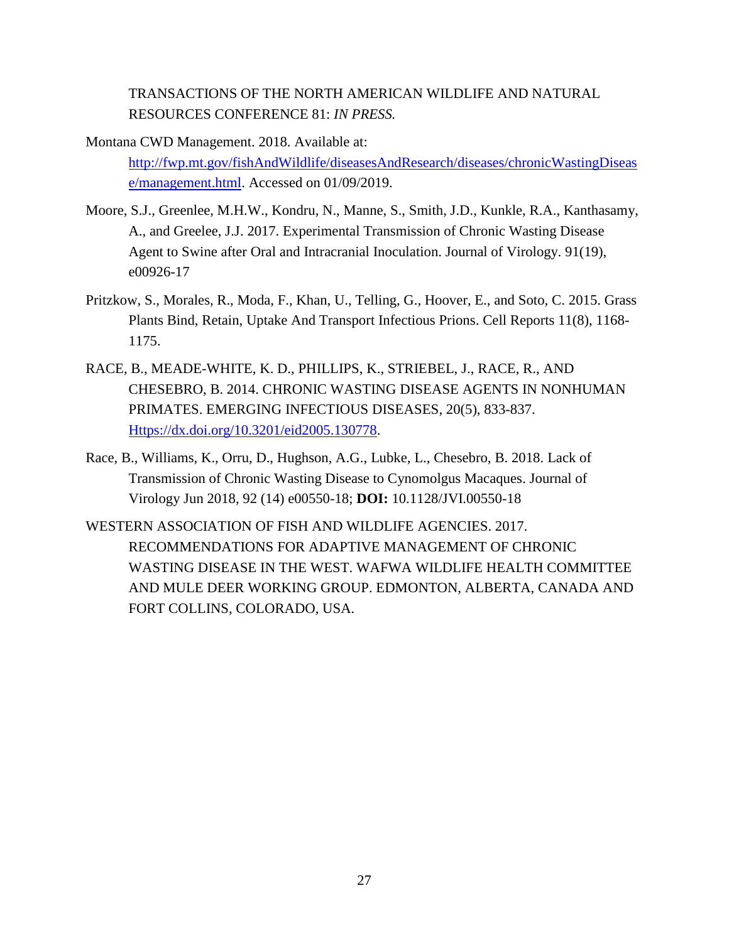TRANSACTIONS OF THE NORTH AMERICAN WILDLIFE AND NATURAL RESOURCES CONFERENCE 81: *IN PRESS.*

- Montana CWD Management. 2018. Available at: [http://fwp.mt.gov/fishAndWildlife/diseasesAndResearch/diseases/chronicWastingDiseas](http://fwp.mt.gov/fishAndWildlife/diseasesAndResearch/diseases/chronicWastingDisease/management.html) [e/management.html.](http://fwp.mt.gov/fishAndWildlife/diseasesAndResearch/diseases/chronicWastingDisease/management.html) Accessed on 01/09/2019.
- Moore, S.J., Greenlee, M.H.W., Kondru, N., Manne, S., Smith, J.D., Kunkle, R.A., Kanthasamy, A., and Greelee, J.J. 2017. Experimental Transmission of Chronic Wasting Disease Agent to Swine after Oral and Intracranial Inoculation. Journal of Virology. 91(19), e00926-17
- Pritzkow, S., Morales, R., Moda, F., Khan, U., Telling, G., Hoover, E., and Soto, C. 2015. Grass Plants Bind, Retain, Uptake And Transport Infectious Prions. Cell Reports 11(8), 1168- 1175.
- RACE, B., MEADE-WHITE, K. D., PHILLIPS, K., STRIEBEL, J., RACE, R., AND CHESEBRO, B. 2014. CHRONIC WASTING DISEASE AGENTS IN NONHUMAN PRIMATES. EMERGING INFECTIOUS DISEASES, 20(5), 833-837. [Https://dx.doi.org/10.3201/eid2005.130778.](https://dx.doi.org/10.3201/eid2005.130778)
- Race, B., Williams, K., Orru, D., Hughson, A.G., Lubke, L., Chesebro, B. 2018. Lack of Transmission of Chronic Wasting Disease to Cynomolgus Macaques. Journal of Virology Jun 2018, 92 (14) e00550-18; **DOI:** 10.1128/JVI.00550-18
- WESTERN ASSOCIATION OF FISH AND WILDLIFE AGENCIES. 2017. RECOMMENDATIONS FOR ADAPTIVE MANAGEMENT OF CHRONIC WASTING DISEASE IN THE WEST. WAFWA WILDLIFE HEALTH COMMITTEE AND MULE DEER WORKING GROUP. EDMONTON, ALBERTA, CANADA AND FORT COLLINS, COLORADO, USA.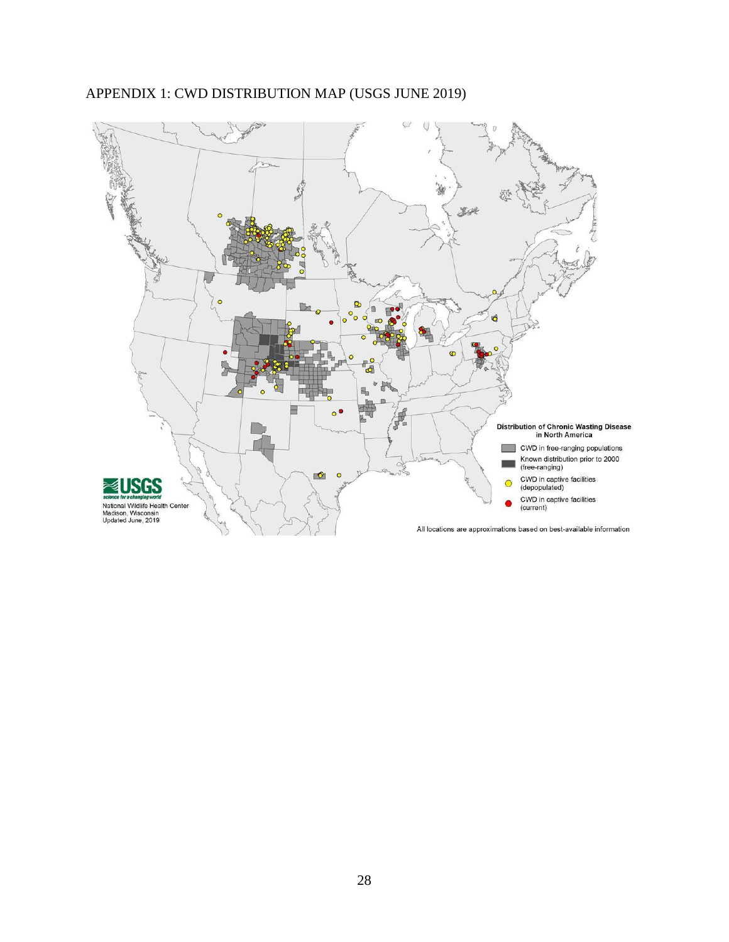

# APPENDIX 1: CWD DISTRIBUTION MAP (USGS JUNE 2019)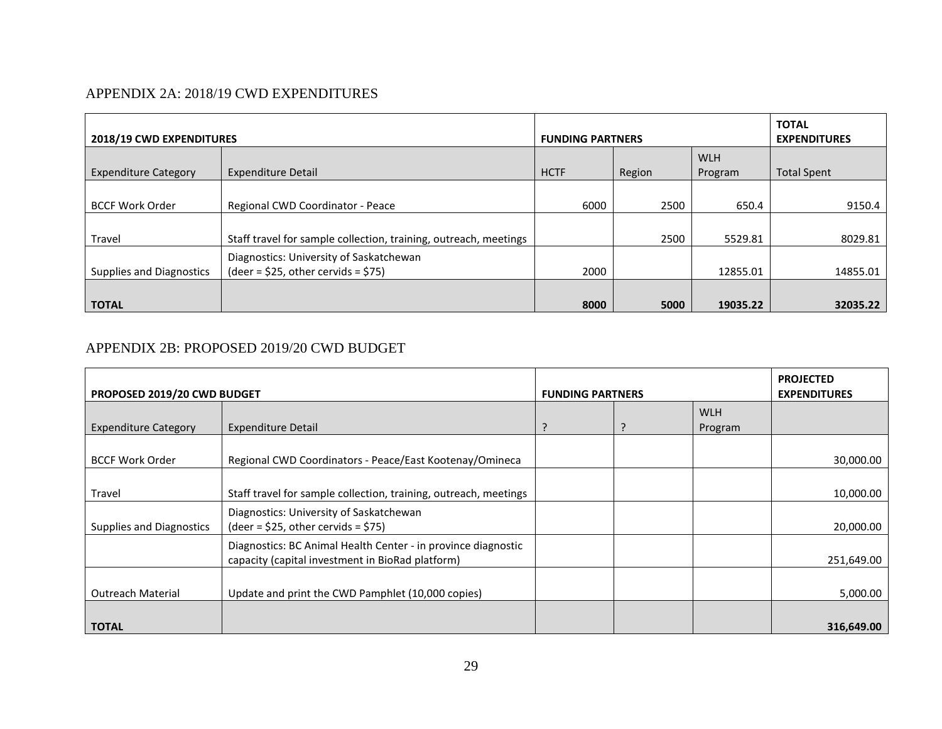# APPENDIX 2A: 2018/19 CWD EXPENDITURES

| <b>2018/19 CWD EXPENDITURES</b> |                                                                                | <b>FUNDING PARTNERS</b> |        |                       | <b>TOTAL</b><br><b>EXPENDITURES</b> |
|---------------------------------|--------------------------------------------------------------------------------|-------------------------|--------|-----------------------|-------------------------------------|
| <b>Expenditure Category</b>     | <b>Expenditure Detail</b>                                                      | <b>HCTF</b>             | Region | <b>WLH</b><br>Program | <b>Total Spent</b>                  |
| <b>BCCF Work Order</b>          | Regional CWD Coordinator - Peace                                               | 6000                    | 2500   | 650.4                 | 9150.4                              |
| Travel                          | Staff travel for sample collection, training, outreach, meetings               |                         | 2500   | 5529.81               | 8029.81                             |
| Supplies and Diagnostics        | Diagnostics: University of Saskatchewan<br>$(deer = $25, other cervids = $75)$ | 2000                    |        | 12855.01              | 14855.01                            |
| <b>TOTAL</b>                    |                                                                                | 8000                    | 5000   | 19035.22              | 32035.22                            |

# APPENDIX 2B: PROPOSED 2019/20 CWD BUDGET

| PROPOSED 2019/20 CWD BUDGET |                                                                                                                   | <b>FUNDING PARTNERS</b> |  |                       | <b>PROJECTED</b><br><b>EXPENDITURES</b> |
|-----------------------------|-------------------------------------------------------------------------------------------------------------------|-------------------------|--|-----------------------|-----------------------------------------|
| <b>Expenditure Category</b> | <b>Expenditure Detail</b>                                                                                         | P                       |  | <b>WLH</b><br>Program |                                         |
| <b>BCCF Work Order</b>      | Regional CWD Coordinators - Peace/East Kootenay/Omineca                                                           |                         |  |                       | 30,000.00                               |
| Travel                      | Staff travel for sample collection, training, outreach, meetings                                                  |                         |  |                       | 10,000.00                               |
| Supplies and Diagnostics    | Diagnostics: University of Saskatchewan<br>$(\text{deer} = $25, \text{other cervids} = $75)$                      |                         |  |                       | 20,000.00                               |
|                             | Diagnostics: BC Animal Health Center - in province diagnostic<br>capacity (capital investment in BioRad platform) |                         |  |                       | 251,649.00                              |
| <b>Outreach Material</b>    | Update and print the CWD Pamphlet (10,000 copies)                                                                 |                         |  |                       | 5,000.00                                |
| <b>TOTAL</b>                |                                                                                                                   |                         |  |                       | 316,649.00                              |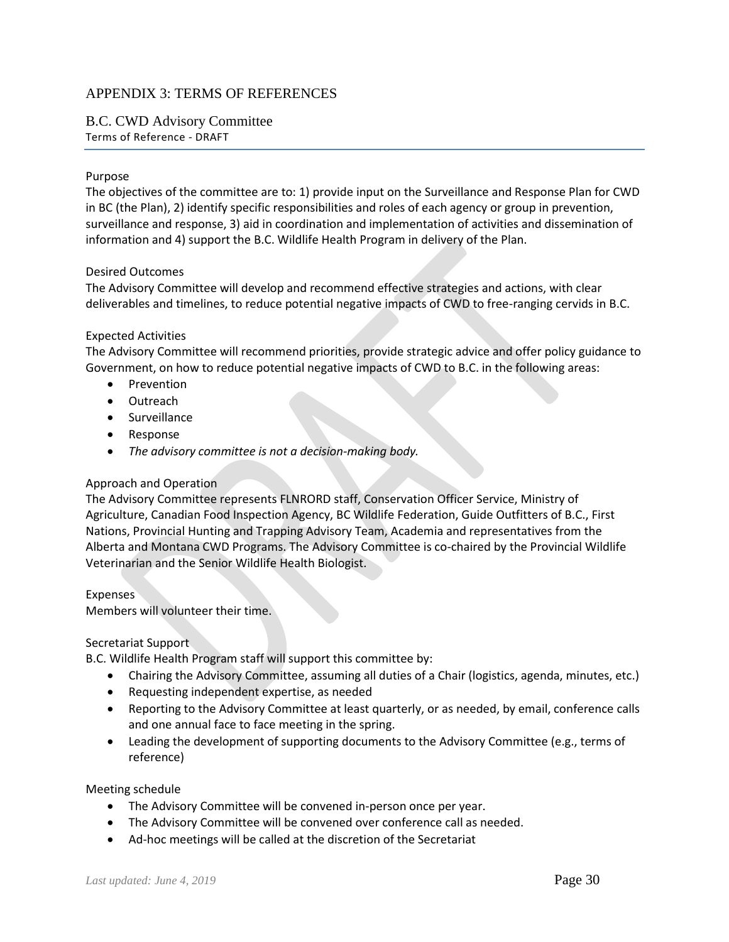### APPENDIX 3: TERMS OF REFERENCES

### B.C. CWD Advisory Committee Terms of Reference - DRAFT

#### Purpose

The objectives of the committee are to: 1) provide input on the Surveillance and Response Plan for CWD in BC (the Plan), 2) identify specific responsibilities and roles of each agency or group in prevention, surveillance and response, 3) aid in coordination and implementation of activities and dissemination of information and 4) support the B.C. Wildlife Health Program in delivery of the Plan.

#### Desired Outcomes

The Advisory Committee will develop and recommend effective strategies and actions, with clear deliverables and timelines, to reduce potential negative impacts of CWD to free-ranging cervids in B.C.

#### Expected Activities

The Advisory Committee will recommend priorities, provide strategic advice and offer policy guidance to Government, on how to reduce potential negative impacts of CWD to B.C. in the following areas:

- Prevention
- Outreach
- Surveillance
- Response
- *The advisory committee is not a decision-making body.*

### Approach and Operation

The Advisory Committee represents FLNRORD staff, Conservation Officer Service, Ministry of Agriculture, Canadian Food Inspection Agency, BC Wildlife Federation, Guide Outfitters of B.C., First Nations, Provincial Hunting and Trapping Advisory Team, Academia and representatives from the Alberta and Montana CWD Programs. The Advisory Committee is co-chaired by the Provincial Wildlife Veterinarian and the Senior Wildlife Health Biologist.

#### Expenses

Members will volunteer their time.

#### Secretariat Support

B.C. Wildlife Health Program staff will support this committee by:

- Chairing the Advisory Committee, assuming all duties of a Chair (logistics, agenda, minutes, etc.)
- Requesting independent expertise, as needed
- Reporting to the Advisory Committee at least quarterly, or as needed, by email, conference calls and one annual face to face meeting in the spring.
- Leading the development of supporting documents to the Advisory Committee (e.g., terms of reference)

#### Meeting schedule

- The Advisory Committee will be convened in-person once per year.
- The Advisory Committee will be convened over conference call as needed.
- Ad-hoc meetings will be called at the discretion of the Secretariat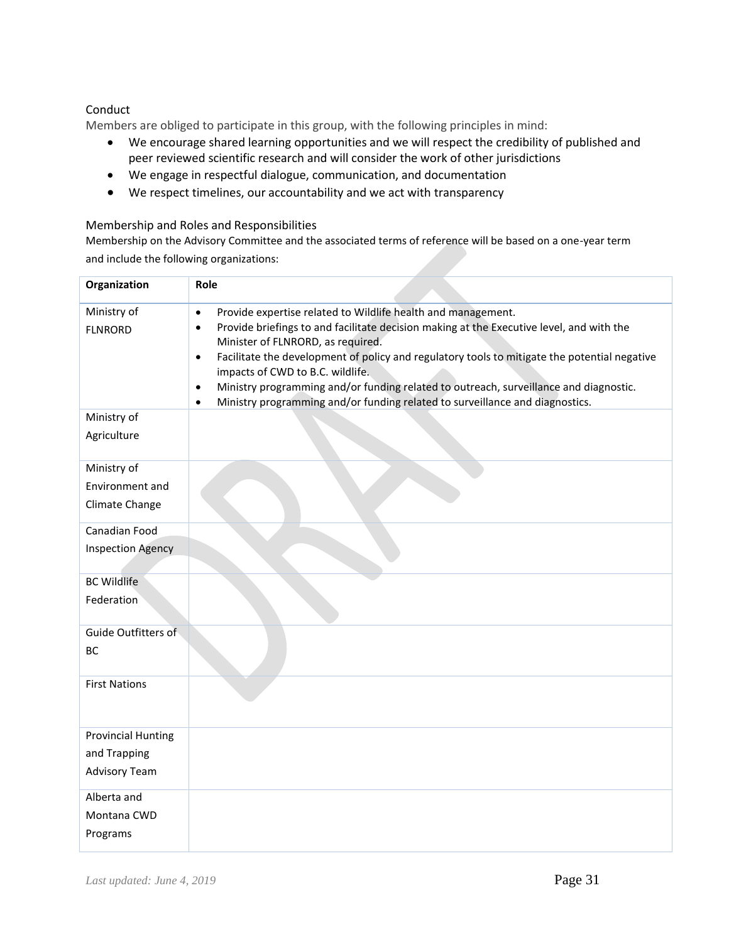### Conduct

Members are obliged to participate in this group, with the following principles in mind:

- We encourage shared learning opportunities and we will respect the credibility of published and peer reviewed scientific research and will consider the work of other jurisdictions
- We engage in respectful dialogue, communication, and documentation
- We respect timelines, our accountability and we act with transparency

#### Membership and Roles and Responsibilities

Membership on the Advisory Committee and the associated terms of reference will be based on a one-year term and include the following organizations:

| Organization                  | Role                                                                                                                                                                                                                                                                                                                                                                                                                                                                                                                                                                        |
|-------------------------------|-----------------------------------------------------------------------------------------------------------------------------------------------------------------------------------------------------------------------------------------------------------------------------------------------------------------------------------------------------------------------------------------------------------------------------------------------------------------------------------------------------------------------------------------------------------------------------|
| Ministry of<br><b>FLNRORD</b> | Provide expertise related to Wildlife health and management.<br>$\bullet$<br>Provide briefings to and facilitate decision making at the Executive level, and with the<br>$\bullet$<br>Minister of FLNRORD, as required.<br>Facilitate the development of policy and regulatory tools to mitigate the potential negative<br>$\bullet$<br>impacts of CWD to B.C. wildlife.<br>Ministry programming and/or funding related to outreach, surveillance and diagnostic.<br>$\bullet$<br>Ministry programming and/or funding related to surveillance and diagnostics.<br>$\bullet$ |
| Ministry of                   |                                                                                                                                                                                                                                                                                                                                                                                                                                                                                                                                                                             |
| Agriculture                   |                                                                                                                                                                                                                                                                                                                                                                                                                                                                                                                                                                             |
| Ministry of                   |                                                                                                                                                                                                                                                                                                                                                                                                                                                                                                                                                                             |
| Environment and               |                                                                                                                                                                                                                                                                                                                                                                                                                                                                                                                                                                             |
| Climate Change                |                                                                                                                                                                                                                                                                                                                                                                                                                                                                                                                                                                             |
| Canadian Food                 |                                                                                                                                                                                                                                                                                                                                                                                                                                                                                                                                                                             |
| <b>Inspection Agency</b>      |                                                                                                                                                                                                                                                                                                                                                                                                                                                                                                                                                                             |
| <b>BC Wildlife</b>            |                                                                                                                                                                                                                                                                                                                                                                                                                                                                                                                                                                             |
| Federation                    |                                                                                                                                                                                                                                                                                                                                                                                                                                                                                                                                                                             |
| Guide Outfitters of<br>BC     |                                                                                                                                                                                                                                                                                                                                                                                                                                                                                                                                                                             |
| <b>First Nations</b>          |                                                                                                                                                                                                                                                                                                                                                                                                                                                                                                                                                                             |
| <b>Provincial Hunting</b>     |                                                                                                                                                                                                                                                                                                                                                                                                                                                                                                                                                                             |
| and Trapping                  |                                                                                                                                                                                                                                                                                                                                                                                                                                                                                                                                                                             |
| <b>Advisory Team</b>          |                                                                                                                                                                                                                                                                                                                                                                                                                                                                                                                                                                             |
| Alberta and                   |                                                                                                                                                                                                                                                                                                                                                                                                                                                                                                                                                                             |
| Montana CWD                   |                                                                                                                                                                                                                                                                                                                                                                                                                                                                                                                                                                             |
| Programs                      |                                                                                                                                                                                                                                                                                                                                                                                                                                                                                                                                                                             |